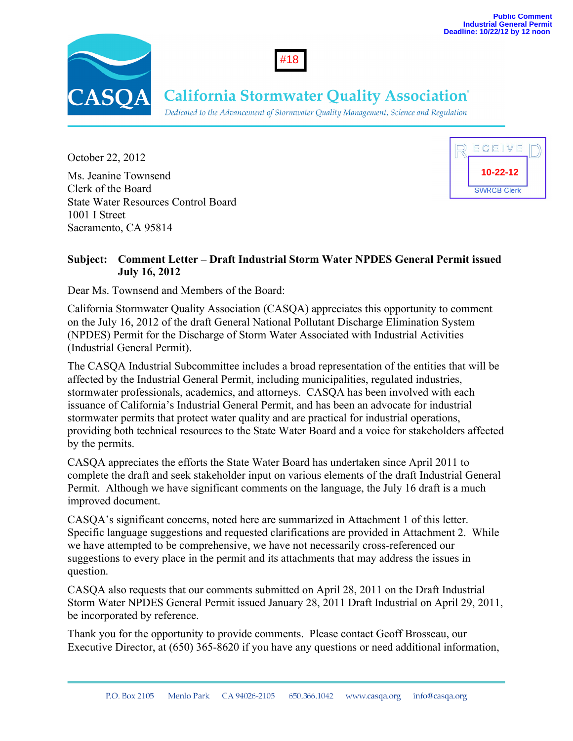



# **California Stormwater Quality Association**®

Dedicated to the Advancement of Stormwater Quality Management, Science and Regulation

October 22, 2012 Ms. Jeanine Townsend Clerk of the Board State Water Resources Control Board 1001 I Street Sacramento, CA 95814



### **Subject: Comment Letter – Draft Industrial Storm Water NPDES General Permit issued July 16, 2012**

Dear Ms. Townsend and Members of the Board:

California Stormwater Quality Association (CASQA) appreciates this opportunity to comment on the July 16, 2012 of the draft General National Pollutant Discharge Elimination System (NPDES) Permit for the Discharge of Storm Water Associated with Industrial Activities (Industrial General Permit).

The CASQA Industrial Subcommittee includes a broad representation of the entities that will be affected by the Industrial General Permit, including municipalities, regulated industries, stormwater professionals, academics, and attorneys. CASQA has been involved with each issuance of California's Industrial General Permit, and has been an advocate for industrial stormwater permits that protect water quality and are practical for industrial operations, providing both technical resources to the State Water Board and a voice for stakeholders affected by the permits.

CASQA appreciates the efforts the State Water Board has undertaken since April 2011 to complete the draft and seek stakeholder input on various elements of the draft Industrial General Permit. Although we have significant comments on the language, the July 16 draft is a much improved document.

CASQA's significant concerns, noted here are summarized in Attachment 1 of this letter. Specific language suggestions and requested clarifications are provided in Attachment 2. While we have attempted to be comprehensive, we have not necessarily cross-referenced our suggestions to every place in the permit and its attachments that may address the issues in question.

CASQA also requests that our comments submitted on April 28, 2011 on the Draft Industrial Storm Water NPDES General Permit issued January 28, 2011 Draft Industrial on April 29, 2011, be incorporated by reference.

Thank you for the opportunity to provide comments. Please contact Geoff Brosseau, our Executive Director, at (650) 365-8620 if you have any questions or need additional information,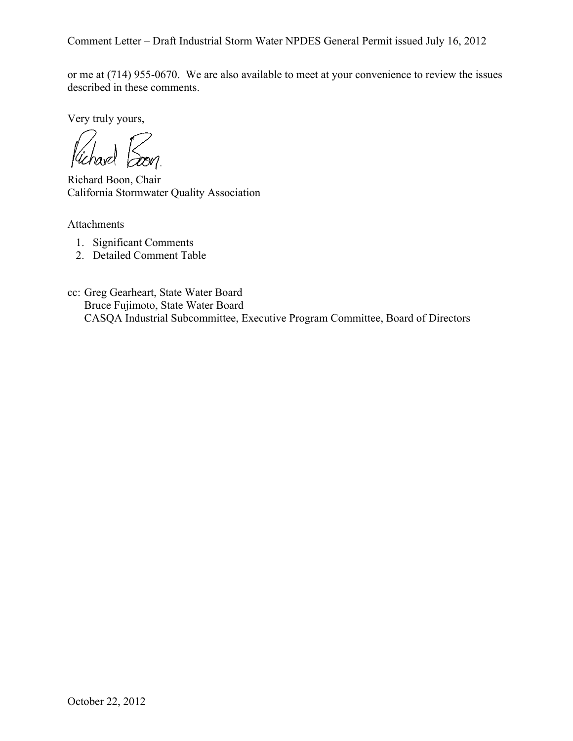or me at (714) 955-0670. We are also available to meet at your convenience to review the issues described in these comments.

Very truly yours,

 $\chi$ *Vichavel* 

Richard Boon, Chair California Stormwater Quality Association

Attachments

- 1. Significant Comments
- 2. Detailed Comment Table

cc: Greg Gearheart, State Water Board Bruce Fujimoto, State Water Board CASQA Industrial Subcommittee, Executive Program Committee, Board of Directors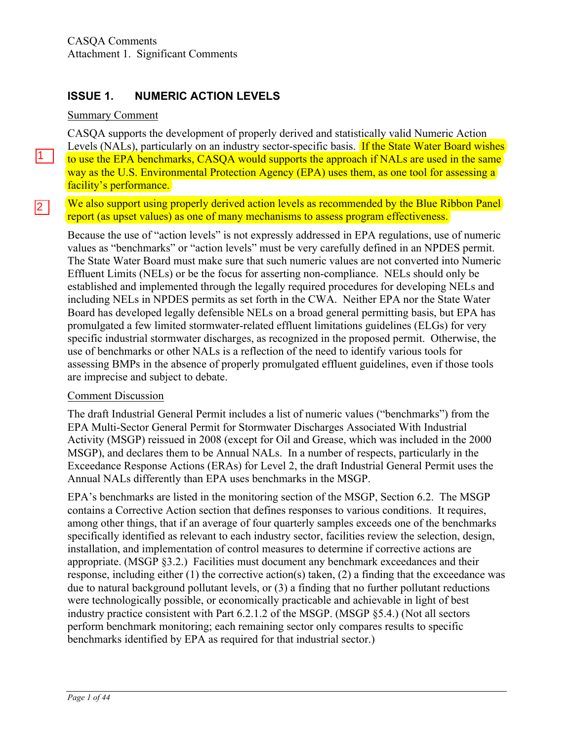## **ISSUE 1. NUMERIC ACTION LEVELS**

### Summary Comment

 $\boxed{1}$ 

 $\boxed{2}$ 

CASQA supports the development of properly derived and statistically valid Numeric Action Levels (NALs), particularly on an industry sector-specific basis. If the State Water Board wishes to use the EPA benchmarks, CASQA would supports the approach if NALs are used in the same way as the U.S. Environmental Protection Agency (EPA) uses them, as one tool for assessing a facility's performance.

### We also support using properly derived action levels as recommended by the Blue Ribbon Panel report (as upset values) as one of many mechanisms to assess program effectiveness.

Because the use of "action levels" is not expressly addressed in EPA regulations, use of numeric values as "benchmarks" or "action levels" must be very carefully defined in an NPDES permit. The State Water Board must make sure that such numeric values are not converted into Numeric Effluent Limits (NELs) or be the focus for asserting non-compliance. NELs should only be established and implemented through the legally required procedures for developing NELs and including NELs in NPDES permits as set forth in the CWA. Neither EPA nor the State Water Board has developed legally defensible NELs on a broad general permitting basis, but EPA has promulgated a few limited stormwater-related effluent limitations guidelines (ELGs) for very specific industrial stormwater discharges, as recognized in the proposed permit. Otherwise, the use of benchmarks or other NALs is a reflection of the need to identify various tools for assessing BMPs in the absence of properly promulgated effluent guidelines, even if those tools are imprecise and subject to debate.

### Comment Discussion

The draft Industrial General Permit includes a list of numeric values ("benchmarks") from the EPA Multi-Sector General Permit for Stormwater Discharges Associated With Industrial Activity (MSGP) reissued in 2008 (except for Oil and Grease, which was included in the 2000 MSGP), and declares them to be Annual NALs. In a number of respects, particularly in the Exceedance Response Actions (ERAs) for Level 2, the draft Industrial General Permit uses the Annual NALs differently than EPA uses benchmarks in the MSGP.

EPA's benchmarks are listed in the monitoring section of the MSGP, Section 6.2. The MSGP contains a Corrective Action section that defines responses to various conditions. It requires, among other things, that if an average of four quarterly samples exceeds one of the benchmarks specifically identified as relevant to each industry sector, facilities review the selection, design, installation, and implementation of control measures to determine if corrective actions are appropriate. (MSGP §3.2.) Facilities must document any benchmark exceedances and their response, including either (1) the corrective action(s) taken, (2) a finding that the exceedance was due to natural background pollutant levels, or (3) a finding that no further pollutant reductions were technologically possible, or economically practicable and achievable in light of best industry practice consistent with Part 6.2.1.2 of the MSGP. (MSGP §5.4.) (Not all sectors perform benchmark monitoring; each remaining sector only compares results to specific benchmarks identified by EPA as required for that industrial sector.)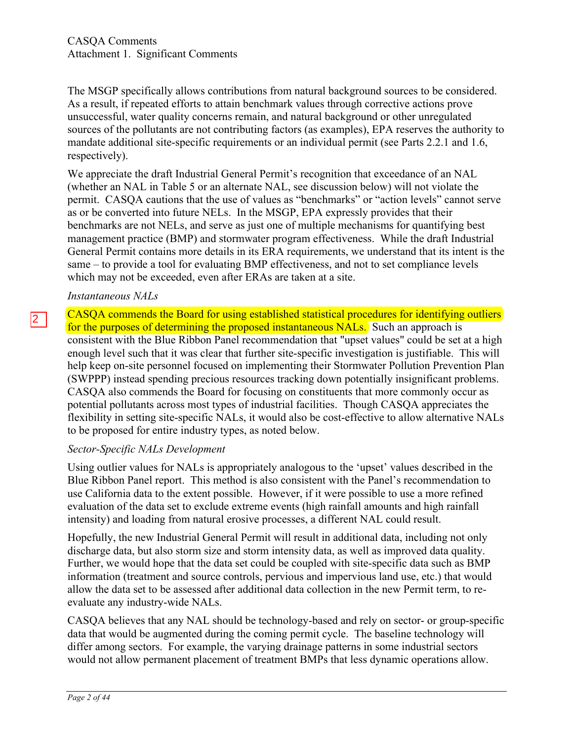The MSGP specifically allows contributions from natural background sources to be considered. As a result, if repeated efforts to attain benchmark values through corrective actions prove unsuccessful, water quality concerns remain, and natural background or other unregulated sources of the pollutants are not contributing factors (as examples), EPA reserves the authority to mandate additional site-specific requirements or an individual permit (see Parts 2.2.1 and 1.6, respectively).

We appreciate the draft Industrial General Permit's recognition that exceedance of an NAL (whether an NAL in Table 5 or an alternate NAL, see discussion below) will not violate the permit. CASQA cautions that the use of values as "benchmarks" or "action levels" cannot serve as or be converted into future NELs. In the MSGP, EPA expressly provides that their benchmarks are not NELs, and serve as just one of multiple mechanisms for quantifying best management practice (BMP) and stormwater program effectiveness. While the draft Industrial General Permit contains more details in its ERA requirements, we understand that its intent is the same – to provide a tool for evaluating BMP effectiveness, and not to set compliance levels which may not be exceeded, even after ERAs are taken at a site.

### *Instantaneous NALs*

 $\boxed{2}$ 

CASQA commends the Board for using established statistical procedures for identifying outliers for the purposes of determining the proposed instantaneous NALs. Such an approach is consistent with the Blue Ribbon Panel recommendation that "upset values" could be set at a high enough level such that it was clear that further site-specific investigation is justifiable. This will help keep on-site personnel focused on implementing their Stormwater Pollution Prevention Plan (SWPPP) instead spending precious resources tracking down potentially insignificant problems. CASQA also commends the Board for focusing on constituents that more commonly occur as potential pollutants across most types of industrial facilities. Though CASQA appreciates the flexibility in setting site-specific NALs, it would also be cost-effective to allow alternative NALs to be proposed for entire industry types, as noted below.

### *Sector-Specific NALs Development*

Using outlier values for NALs is appropriately analogous to the 'upset' values described in the Blue Ribbon Panel report. This method is also consistent with the Panel's recommendation to use California data to the extent possible. However, if it were possible to use a more refined evaluation of the data set to exclude extreme events (high rainfall amounts and high rainfall intensity) and loading from natural erosive processes, a different NAL could result.

Hopefully, the new Industrial General Permit will result in additional data, including not only discharge data, but also storm size and storm intensity data, as well as improved data quality. Further, we would hope that the data set could be coupled with site-specific data such as BMP information (treatment and source controls, pervious and impervious land use, etc.) that would allow the data set to be assessed after additional data collection in the new Permit term, to reevaluate any industry-wide NALs.

CASQA believes that any NAL should be technology-based and rely on sector- or group-specific data that would be augmented during the coming permit cycle. The baseline technology will differ among sectors. For example, the varying drainage patterns in some industrial sectors would not allow permanent placement of treatment BMPs that less dynamic operations allow.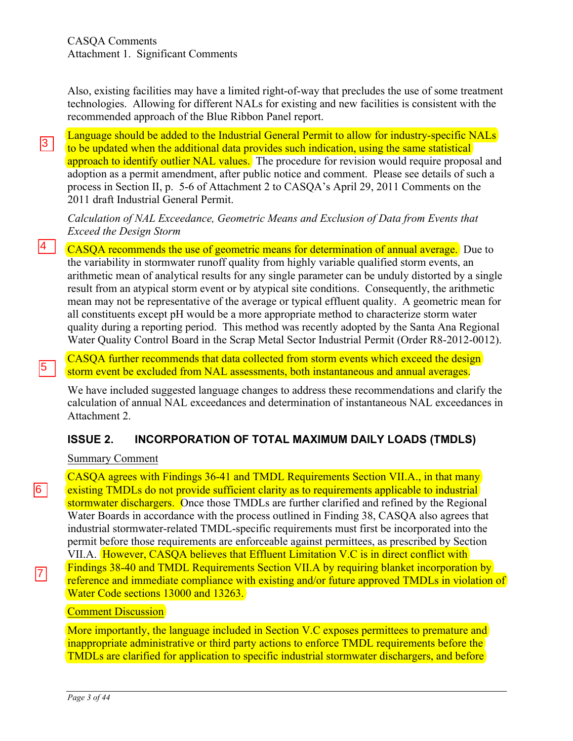Also, existing facilities may have a limited right-of-way that precludes the use of some treatment technologies. Allowing for different NALs for existing and new facilities is consistent with the recommended approach of the Blue Ribbon Panel report.

Language should be added to the Industrial General Permit to allow for industry-specific NALs to be updated when the additional data provides such indication, using the same statistical approach to identify outlier NAL values. The procedure for revision would require proposal and adoption as a permit amendment, after public notice and comment. Please see details of such a process in Section II, p. 5-6 of Attachment 2 to CASQA's April 29, 2011 Comments on the 2011 draft Industrial General Permit.  $\sqrt{3}$ 

*Calculation of NAL Exceedance, Geometric Means and Exclusion of Data from Events that Exceed the Design Storm*

CASQA recommends the use of geometric means for determination of annual average. Due to the variability in stormwater runoff quality from highly variable qualified storm events, an arithmetic mean of analytical results for any single parameter can be unduly distorted by a single result from an atypical storm event or by atypical site conditions. Consequently, the arithmetic mean may not be representative of the average or typical effluent quality. A geometric mean for all constituents except pH would be a more appropriate method to characterize storm water quality during a reporting period. This method was recently adopted by the Santa Ana Regional Water Quality Control Board in the Scrap Metal Sector Industrial Permit (Order R8-2012-0012).

CASQA further recommends that data collected from storm events which exceed the design storm event be excluded from NAL assessments, both instantaneous and annual averages.

We have included suggested language changes to address these recommendations and clarify the calculation of annual NAL exceedances and determination of instantaneous NAL exceedances in Attachment 2.

### **ISSUE 2. INCORPORATION OF TOTAL MAXIMUM DAILY LOADS (TMDLS)**

Summary Comment

4

 $\sqrt{5}$ 

 $\boxed{6}$ 

7

CASQA agrees with Findings 36-41 and TMDL Requirements Section VII.A., in that many existing TMDLs do not provide sufficient clarity as to requirements applicable to industrial stormwater dischargers. Once those TMDLs are further clarified and refined by the Regional Water Boards in accordance with the process outlined in Finding 38, CASQA also agrees that industrial stormwater-related TMDL-specific requirements must first be incorporated into the permit before those requirements are enforceable against permittees, as prescribed by Section VII.A. However, CASQA believes that Effluent Limitation V.C is in direct conflict with Findings 38-40 and TMDL Requirements Section VII.A by requiring blanket incorporation by reference and immediate compliance with existing and/or future approved TMDLs in violation of Water Code sections 13000 and 13263.

### **Comment Discussion**

More importantly, the language included in Section V.C exposes permittees to premature and inappropriate administrative or third party actions to enforce TMDL requirements before the TMDLs are clarified for application to specific industrial stormwater dischargers, and before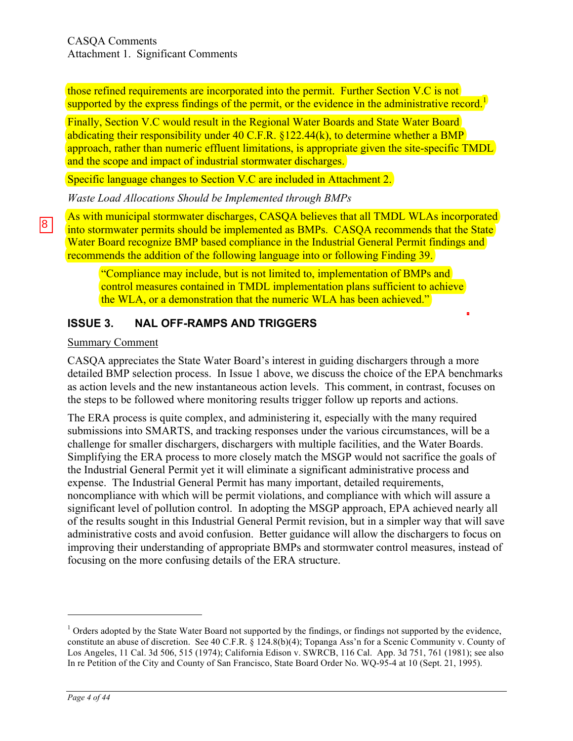those refined requirements are incorporated into the permit. Further Section V.C is not supported by the express findings of the permit, or the evidence in the administrative record.<sup>1</sup>

Finally, Section V.C would result in the Regional Water Boards and State Water Board abdicating their responsibility under 40 C.F.R. §122.44(k), to determine whether a BMP approach, rather than numeric effluent limitations, is appropriate given the site-specific TMDL and the scope and impact of industrial stormwater discharges.

Specific language changes to Section V.C are included in Attachment 2.

*Waste Load Allocations Should be Implemented through BMPs*

As with municipal stormwater discharges, CASQA believes that all TMDL WLAs incorporated into stormwater permits should be implemented as BMPs. CASQA recommends that the State Water Board recognize BMP based compliance in the Industrial General Permit findings and recommends the addition of the following language into or following Finding 39.

"Compliance may include, but is not limited to, implementation of BMPs and control measures contained in TMDL implementation plans sufficient to achieve the WLA, or a demonstration that the numeric WLA has been achieved."

# **ISSUE 3. NAL OFF-RAMPS AND TRIGGERS**

### Summary Comment

CASQA appreciates the State Water Board's interest in guiding dischargers through a more detailed BMP selection process. In Issue 1 above, we discuss the choice of the EPA benchmarks as action levels and the new instantaneous action levels. This comment, in contrast, focuses on the steps to be followed where monitoring results trigger follow up reports and actions.

The ERA process is quite complex, and administering it, especially with the many required submissions into SMARTS, and tracking responses under the various circumstances, will be a challenge for smaller dischargers, dischargers with multiple facilities, and the Water Boards. Simplifying the ERA process to more closely match the MSGP would not sacrifice the goals of the Industrial General Permit yet it will eliminate a significant administrative process and expense. The Industrial General Permit has many important, detailed requirements, noncompliance with which will be permit violations, and compliance with which will assure a significant level of pollution control. In adopting the MSGP approach, EPA achieved nearly all of the results sought in this Industrial General Permit revision, but in a simpler way that will save administrative costs and avoid confusion. Better guidance will allow the dischargers to focus on improving their understanding of appropriate BMPs and stormwater control measures, instead of focusing on the more confusing details of the ERA structure.

8

 $\overline{a}$ 

 $<sup>1</sup>$  Orders adopted by the State Water Board not supported by the findings, or findings not supported by the evidence,</sup> constitute an abuse of discretion. See 40 C.F.R. § 124.8(b)(4); Topanga Ass'n for a Scenic Community v. County of Los Angeles, 11 Cal. 3d 506, 515 (1974); California Edison v. SWRCB, 116 Cal. App. 3d 751, 761 (1981); see also In re Petition of the City and County of San Francisco, State Board Order No. WQ-95-4 at 10 (Sept. 21, 1995).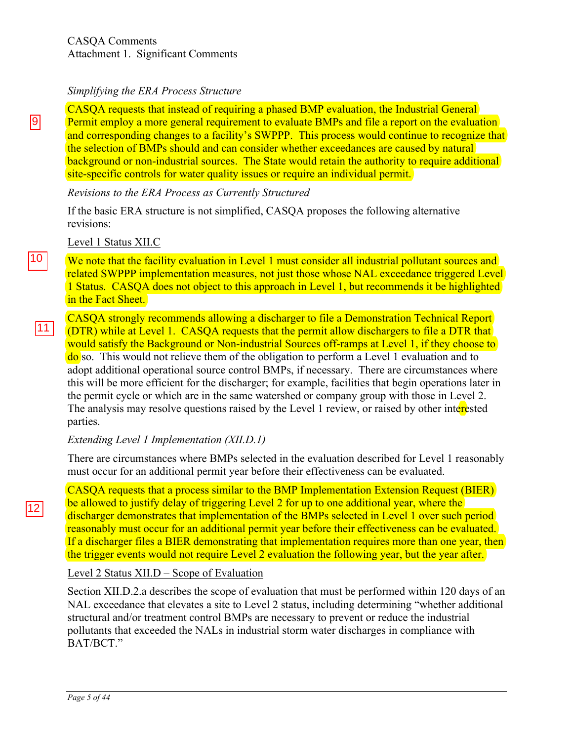#### *Simplifying the ERA Process Structure*

CASQA requests that instead of requiring a phased BMP evaluation, the Industrial General Permit employ a more general requirement to evaluate BMPs and file a report on the evaluation and corresponding changes to a facility's SWPPP. This process would continue to recognize that the selection of BMPs should and can consider whether exceedances are caused by natural background or non-industrial sources. The State would retain the authority to require additional site-specific controls for water quality issues or require an individual permit.

### *Revisions to the ERA Process as Currently Structured*

If the basic ERA structure is not simplified, CASQA proposes the following alternative revisions:

Level 1 Status XII.C

We note that the facility evaluation in Level 1 must consider all industrial pollutant sources and related SWPPP implementation measures, not just those whose NAL exceedance triggered Level 1 Status. CASQA does not object to this approach in Level 1, but recommends it be highlighted in the Fact Sheet.

CASQA strongly recommends allowing a discharger to file a Demonstration Technical Report (DTR) while at Level 1. CASQA requests that the permit allow dischargers to file a DTR that would satisfy the Background or Non-industrial Sources off-ramps at Level 1, if they choose to do so. This would not relieve them of the obligation to perform a Level 1 evaluation and to adopt additional operational source control BMPs, if necessary. There are circumstances where this will be more efficient for the discharger; for example, facilities that begin operations later in the permit cycle or which are in the same watershed or company group with those in Level 2. The analysis may resolve questions raised by the Level 1 review, or raised by other interested parties.

### *Extending Level 1 Implementation (XII.D.1)*

There are circumstances where BMPs selected in the evaluation described for Level 1 reasonably must occur for an additional permit year before their effectiveness can be evaluated.

CASQA requests that a process similar to the BMP Implementation Extension Request (BIER) be allowed to justify delay of triggering Level 2 for up to one additional year, where the discharger demonstrates that implementation of the BMPs selected in Level 1 over such period reasonably must occur for an additional permit year before their effectiveness can be evaluated. If a discharger files a BIER demonstrating that implementation requires more than one year, then the trigger events would not require Level 2 evaluation the following year, but the year after.

### Level 2 Status XII.D – Scope of Evaluation

Section XII.D.2.a describes the scope of evaluation that must be performed within 120 days of an NAL exceedance that elevates a site to Level 2 status, including determining "whether additional structural and/or treatment control BMPs are necessary to prevent or reduce the industrial pollutants that exceeded the NALs in industrial storm water discharges in compliance with BAT/BCT."

9

 $\frac{10}{11}$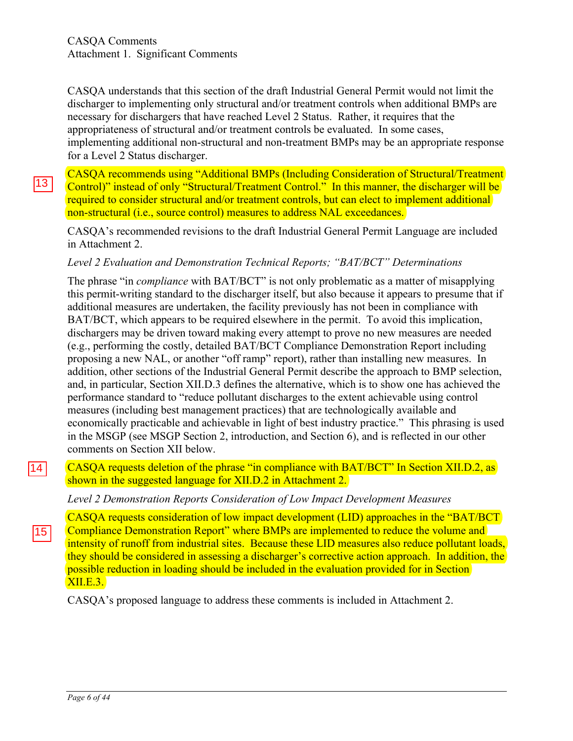CASQA understands that this section of the draft Industrial General Permit would not limit the discharger to implementing only structural and/or treatment controls when additional BMPs are necessary for dischargers that have reached Level 2 Status. Rather, it requires that the appropriateness of structural and/or treatment controls be evaluated. In some cases, implementing additional non-structural and non-treatment BMPs may be an appropriate response for a Level 2 Status discharger.

CASQA recommends using "Additional BMPs (Including Consideration of Structural/Treatment Control)" instead of only "Structural/Treatment Control." In this manner, the discharger will be required to consider structural and/or treatment controls, but can elect to implement additional non-structural (i.e., source control) measures to address NAL exceedances.

CASQA's recommended revisions to the draft Industrial General Permit Language are included in Attachment 2.

### *Level 2 Evaluation and Demonstration Technical Reports; "BAT/BCT" Determinations*

The phrase "in *compliance* with BAT/BCT" is not only problematic as a matter of misapplying this permit-writing standard to the discharger itself, but also because it appears to presume that if additional measures are undertaken, the facility previously has not been in compliance with BAT/BCT, which appears to be required elsewhere in the permit. To avoid this implication, dischargers may be driven toward making every attempt to prove no new measures are needed (e.g., performing the costly, detailed BAT/BCT Compliance Demonstration Report including proposing a new NAL, or another "off ramp" report), rather than installing new measures. In addition, other sections of the Industrial General Permit describe the approach to BMP selection, and, in particular, Section XII.D.3 defines the alternative, which is to show one has achieved the performance standard to "reduce pollutant discharges to the extent achievable using control measures (including best management practices) that are technologically available and economically practicable and achievable in light of best industry practice." This phrasing is used in the MSGP (see MSGP Section 2, introduction, and Section 6), and is reflected in our other comments on Section XII below.

CASQA requests deletion of the phrase "in compliance with BAT/BCT" In Section XII.D.2, as shown in the suggested language for XII.D.2 in Attachment 2.  $\frac{|14|}{|15|}$ 

*Level 2 Demonstration Reports Consideration of Low Impact Development Measures*

CASQA requests consideration of low impact development (LID) approaches in the "BAT/BCT Compliance Demonstration Report" where BMPs are implemented to reduce the volume and intensity of runoff from industrial sites. Because these LID measures also reduce pollutant loads, they should be considered in assessing a discharger's corrective action approach. In addition, the possible reduction in loading should be included in the evaluation provided for in Section XII.E.3.

CASQA's proposed language to address these comments is included in Attachment 2.

13

*Page 6 of 44*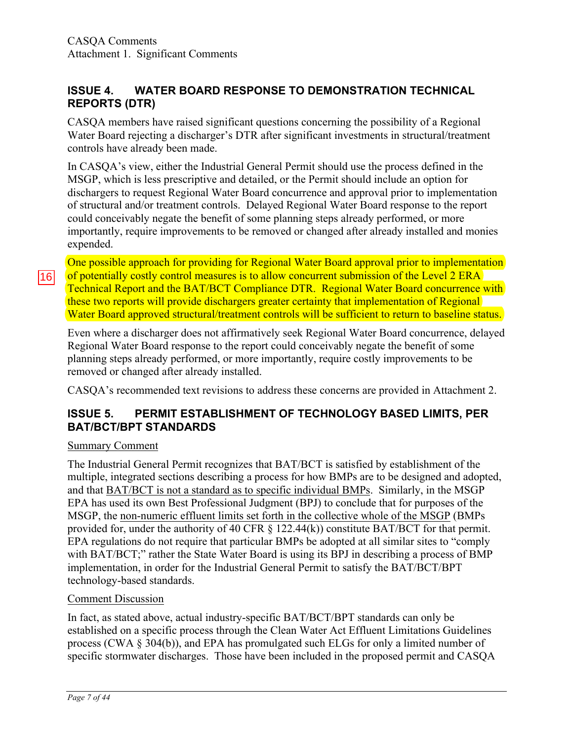### **ISSUE 4. WATER BOARD RESPONSE TO DEMONSTRATION TECHNICAL REPORTS (DTR)**

CASQA members have raised significant questions concerning the possibility of a Regional Water Board rejecting a discharger's DTR after significant investments in structural/treatment controls have already been made.

In CASQA's view, either the Industrial General Permit should use the process defined in the MSGP, which is less prescriptive and detailed, or the Permit should include an option for dischargers to request Regional Water Board concurrence and approval prior to implementation of structural and/or treatment controls. Delayed Regional Water Board response to the report could conceivably negate the benefit of some planning steps already performed, or more importantly, require improvements to be removed or changed after already installed and monies expended.

One possible approach for providing for Regional Water Board approval prior to implementation of potentially costly control measures is to allow concurrent submission of the Level 2 ERA Technical Report and the BAT/BCT Compliance DTR. Regional Water Board concurrence with these two reports will provide dischargers greater certainty that implementation of Regional Water Board approved structural/treatment controls will be sufficient to return to baseline status.

Even where a discharger does not affirmatively seek Regional Water Board concurrence, delayed Regional Water Board response to the report could conceivably negate the benefit of some planning steps already performed, or more importantly, require costly improvements to be removed or changed after already installed.

CASQA's recommended text revisions to address these concerns are provided in Attachment 2.

# **ISSUE 5. PERMIT ESTABLISHMENT OF TECHNOLOGY BASED LIMITS, PER BAT/BCT/BPT STANDARDS**

### Summary Comment

16

The Industrial General Permit recognizes that BAT/BCT is satisfied by establishment of the multiple, integrated sections describing a process for how BMPs are to be designed and adopted, and that BAT/BCT is not a standard as to specific individual BMPs. Similarly, in the MSGP EPA has used its own Best Professional Judgment (BPJ) to conclude that for purposes of the MSGP, the non-numeric effluent limits set forth in the collective whole of the MSGP (BMPs provided for, under the authority of 40 CFR § 122.44(k)) constitute BAT/BCT for that permit. EPA regulations do not require that particular BMPs be adopted at all similar sites to "comply with BAT/BCT;" rather the State Water Board is using its BPJ in describing a process of BMP implementation, in order for the Industrial General Permit to satisfy the BAT/BCT/BPT technology-based standards.

### Comment Discussion

In fact, as stated above, actual industry-specific BAT/BCT/BPT standards can only be established on a specific process through the Clean Water Act Effluent Limitations Guidelines process (CWA § 304(b)), and EPA has promulgated such ELGs for only a limited number of specific stormwater discharges. Those have been included in the proposed permit and CASQA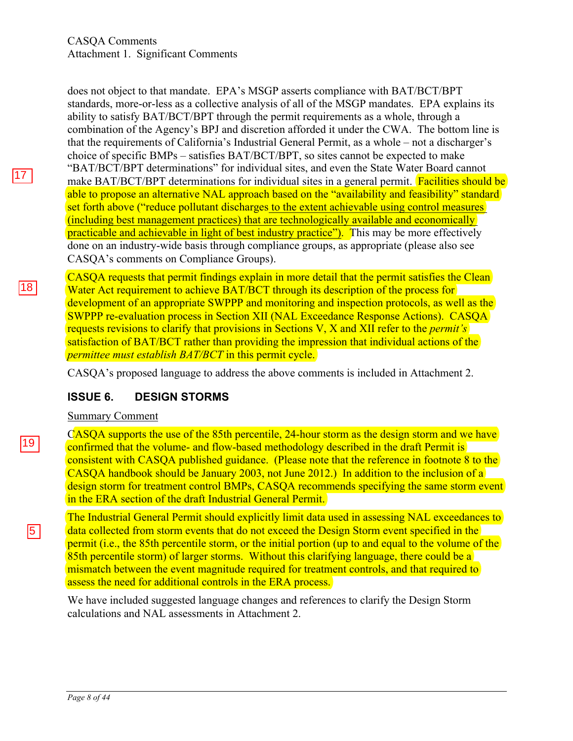$18$ 

does not object to that mandate. EPA's MSGP asserts compliance with BAT/BCT/BPT standards, more-or-less as a collective analysis of all of the MSGP mandates. EPA explains its ability to satisfy BAT/BCT/BPT through the permit requirements as a whole, through a combination of the Agency's BPJ and discretion afforded it under the CWA. The bottom line is that the requirements of California's Industrial General Permit, as a whole – not a discharger's choice of specific BMPs – satisfies BAT/BCT/BPT, so sites cannot be expected to make "BAT/BCT/BPT determinations" for individual sites, and even the State Water Board cannot make BAT/BCT/BPT determinations for individual sites in a general permit. **Facilities should be** able to propose an alternative NAL approach based on the "availability and feasibility" standard set forth above ("reduce pollutant discharges to the extent achievable using control measures (including best management practices) that are technologically available and economically practicable and achievable in light of best industry practice"). This may be more effectively done on an industry-wide basis through compliance groups, as appropriate (please also see CASQA's comments on Compliance Groups).

CASQA requests that permit findings explain in more detail that the permit satisfies the Clean Water Act requirement to achieve BAT/BCT through its description of the process for development of an appropriate SWPPP and monitoring and inspection protocols, as well as the SWPPP re-evaluation process in Section XII (NAL Exceedance Response Actions). CASQA requests revisions to clarify that provisions in Sections V, X and XII refer to the *permit's* satisfaction of BAT/BCT rather than providing the impression that individual actions of the *permittee must establish BAT/BCT* in this permit cycle.

CASQA's proposed language to address the above comments is included in Attachment 2.

### **ISSUE 6. DESIGN STORMS**

#### Summary Comment

CASQA supports the use of the 85th percentile, 24-hour storm as the design storm and we have confirmed that the volume- and flow-based methodology described in the draft Permit is consistent with CASQA published guidance. (Please note that the reference in footnote 8 to the CASQA handbook should be January 2003, not June 2012.) In addition to the inclusion of a design storm for treatment control BMPs, CASQA recommends specifying the same storm event in the ERA section of the draft Industrial General Permit.

The Industrial General Permit should explicitly limit data used in assessing NAL exceedances to data collected from storm events that do not exceed the Design Storm event specified in the permit (i.e., the 85th percentile storm, or the initial portion (up to and equal to the volume of the 85th percentile storm) of larger storms. Without this clarifying language, there could be a mismatch between the event magnitude required for treatment controls, and that required to assess the need for additional controls in the ERA process.

We have included suggested language changes and references to clarify the Design Storm calculations and NAL assessments in Attachment 2.

 $\sqrt{5}$ 

*Page 8 of 44*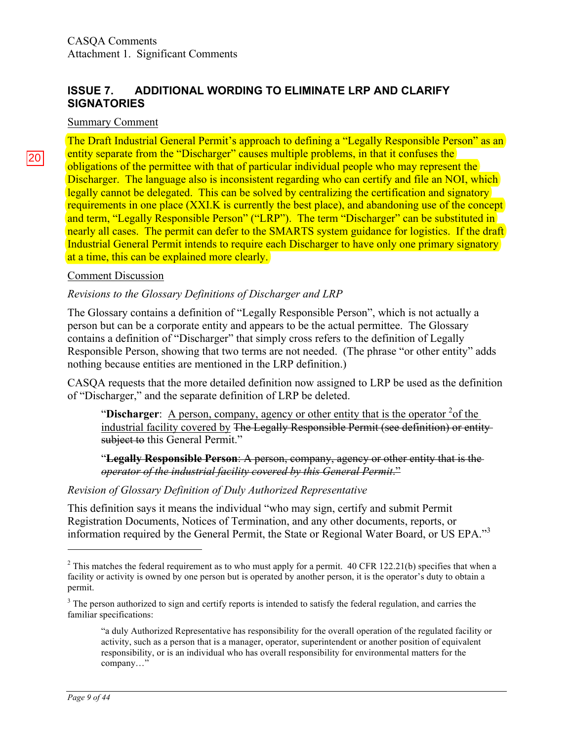### **ISSUE 7. ADDITIONAL WORDING TO ELIMINATE LRP AND CLARIFY SIGNATORIES**

### Summary Comment

The Draft Industrial General Permit's approach to defining a "Legally Responsible Person" as an entity separate from the "Discharger" causes multiple problems, in that it confuses the obligations of the permittee with that of particular individual people who may represent the Discharger. The language also is inconsistent regarding who can certify and file an NOI, which legally cannot be delegated. This can be solved by centralizing the certification and signatory requirements in one place (XXI.K is currently the best place), and abandoning use of the concept and term, "Legally Responsible Person" ("LRP"). The term "Discharger" can be substituted in nearly all cases. The permit can defer to the SMARTS system guidance for logistics. If the draft Industrial General Permit intends to require each Discharger to have only one primary signatory at a time, this can be explained more clearly.

### Comment Discussion

### *Revisions to the Glossary Definitions of Discharger and LRP*

The Glossary contains a definition of "Legally Responsible Person", which is not actually a person but can be a corporate entity and appears to be the actual permittee. The Glossary contains a definition of "Discharger" that simply cross refers to the definition of Legally Responsible Person, showing that two terms are not needed. (The phrase "or other entity" adds nothing because entities are mentioned in the LRP definition.)

CASQA requests that the more detailed definition now assigned to LRP be used as the definition of "Discharger," and the separate definition of LRP be deleted.

"Discharger:  $\overline{A}$  person, company, agency or other entity that is the operator  $2$ <sup>2</sup> of the industrial facility covered by The Legally Responsible Permit (see definition) or entity subject to this General Permit."

"**Legally Responsible Person**: A person, company, agency or other entity that is the *operator of the industrial facility covered by this General Permit*."

### *Revision of Glossary Definition of Duly Authorized Representative*

This definition says it means the individual "who may sign, certify and submit Permit Registration Documents, Notices of Termination, and any other documents, reports, or information required by the General Permit, the State or Regional Water Board, or US EPA."<sup>3</sup>

 $\overline{a}$ 

 $2$  This matches the federal requirement as to who must apply for a permit. 40 CFR 122.21(b) specifies that when a facility or activity is owned by one person but is operated by another person, it is the operator's duty to obtain a permit.

<sup>&</sup>lt;sup>3</sup> The person authorized to sign and certify reports is intended to satisfy the federal regulation, and carries the familiar specifications:

<sup>&</sup>quot;a duly Authorized Representative has responsibility for the overall operation of the regulated facility or activity, such as a person that is a manager, operator, superintendent or another position of equivalent responsibility, or is an individual who has overall responsibility for environmental matters for the company…"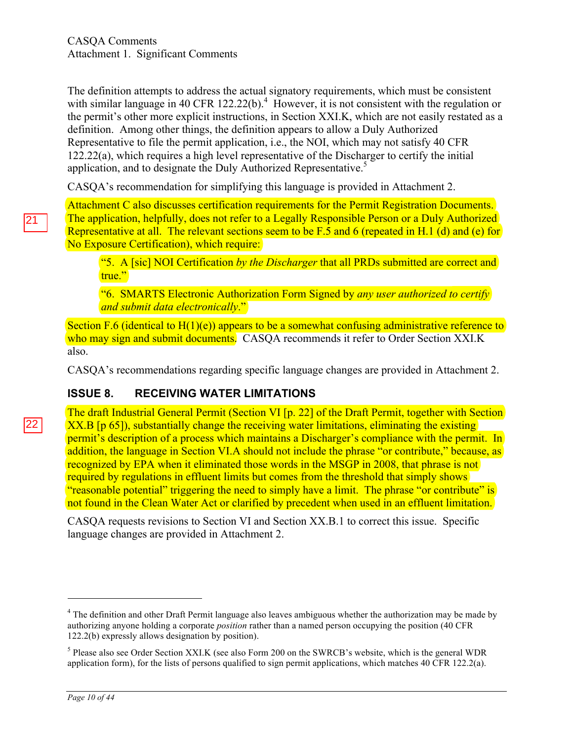The definition attempts to address the actual signatory requirements, which must be consistent with similar language in 40 CFR 122.22(b).<sup>4</sup> However, it is not consistent with the regulation or the permit's other more explicit instructions, in Section XXI.K, which are not easily restated as a definition. Among other things, the definition appears to allow a Duly Authorized Representative to file the permit application, i.e., the NOI, which may not satisfy 40 CFR 122.22(a), which requires a high level representative of the Discharger to certify the initial application, and to designate the Duly Authorized Representative. 5

CASQA's recommendation for simplifying this language is provided in Attachment 2.

Attachment C also discusses certification requirements for the Permit Registration Documents. The application, helpfully, does not refer to a Legally Responsible Person or a Duly Authorized Representative at all. The relevant sections seem to be F.5 and 6 (repeated in H.1 (d) and (e) for No Exposure Certification), which require:

"5. A [sic] NOI Certification *by the Discharger* that all PRDs submitted are correct and true."

"6. SMARTS Electronic Authorization Form Signed by *any user authorized to certify and submit data electronically*."

Section F.6 (identical to  $H(1)(e)$ ) appears to be a somewhat confusing administrative reference to who may sign and submit documents. CASOA recommends it refer to Order Section XXI.K also.

CASQA's recommendations regarding specific language changes are provided in Attachment 2.

# **ISSUE 8. RECEIVING WATER LIMITATIONS**

The draft Industrial General Permit (Section VI [p. 22] of the Draft Permit, together with Section XX.B [p 65]), substantially change the receiving water limitations, eliminating the existing permit's description of a process which maintains a Discharger's compliance with the permit. In addition, the language in Section VI.A should not include the phrase "or contribute," because, as recognized by EPA when it eliminated those words in the MSGP in 2008, that phrase is not required by regulations in effluent limits but comes from the threshold that simply shows "reasonable potential" triggering the need to simply have a limit. The phrase "or contribute" is not found in the Clean Water Act or clarified by precedent when used in an effluent limitation.

CASQA requests revisions to Section VI and Section XX.B.1 to correct this issue. Specific language changes are provided in Attachment 2.

 $22<sub>2</sub>$ 

 $\overline{a}$ 

<sup>&</sup>lt;sup>4</sup> The definition and other Draft Permit language also leaves ambiguous whether the authorization may be made by authorizing anyone holding a corporate *position* rather than a named person occupying the position (40 CFR 122.2(b) expressly allows designation by position).

<sup>5</sup> Please also see Order Section XXI.K (see also Form 200 on the SWRCB's website, which is the general WDR application form), for the lists of persons qualified to sign permit applications, which matches 40 CFR 122.2(a).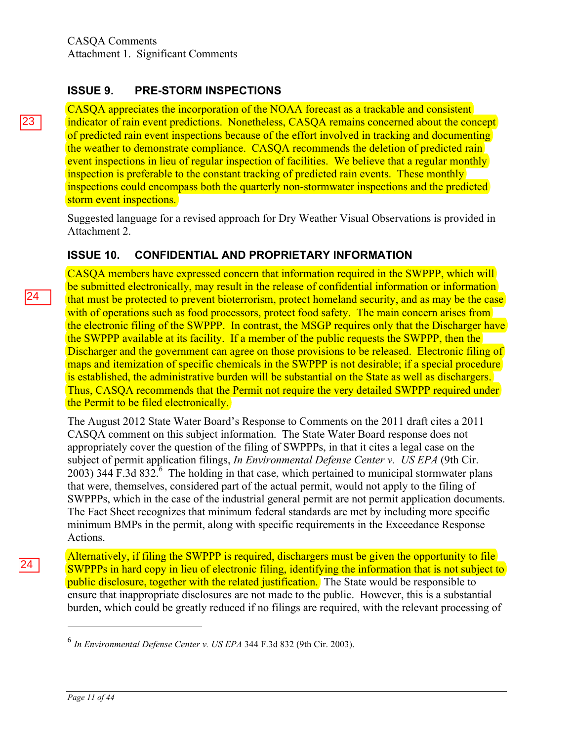### **ISSUE 9. PRE-STORM INSPECTIONS**

CASQA appreciates the incorporation of the NOAA forecast as a trackable and consistent indicator of rain event predictions. Nonetheless, CASQA remains concerned about the concept of predicted rain event inspections because of the effort involved in tracking and documenting the weather to demonstrate compliance. CASQA recommends the deletion of predicted rain event inspections in lieu of regular inspection of facilities. We believe that a regular monthly inspection is preferable to the constant tracking of predicted rain events. These monthly inspections could encompass both the quarterly non-stormwater inspections and the predicted storm event inspections.

Suggested language for a revised approach for Dry Weather Visual Observations is provided in Attachment 2.

### **ISSUE 10. CONFIDENTIAL AND PROPRIETARY INFORMATION**

CASQA members have expressed concern that information required in the SWPPP, which will be submitted electronically, may result in the release of confidential information or information that must be protected to prevent bioterrorism, protect homeland security, and as may be the case with of operations such as food processors, protect food safety. The main concern arises from the electronic filing of the SWPPP. In contrast, the MSGP requires only that the Discharger have the SWPPP available at its facility. If a member of the public requests the SWPPP, then the Discharger and the government can agree on those provisions to be released. Electronic filing of maps and itemization of specific chemicals in the SWPPP is not desirable; if a special procedure is established, the administrative burden will be substantial on the State as well as dischargers. Thus, CASQA recommends that the Permit not require the very detailed SWPPP required under the Permit to be filed electronically.

The August 2012 State Water Board's Response to Comments on the 2011 draft cites a 2011 CASQA comment on this subject information. The State Water Board response does not appropriately cover the question of the filing of SWPPPs, in that it cites a legal case on the subject of permit application filings, *In Environmental Defense Center v. US EPA* (9th Cir. 2003) 344 F.3d 832. $^6$  The holding in that case, which pertained to municipal stormwater plans that were, themselves, considered part of the actual permit, would not apply to the filing of SWPPPs, which in the case of the industrial general permit are not permit application documents. The Fact Sheet recognizes that minimum federal standards are met by including more specific minimum BMPs in the permit, along with specific requirements in the Exceedance Response Actions.

Alternatively, if filing the SWPPP is required, dischargers must be given the opportunity to file SWPPPs in hard copy in lieu of electronic filing, identifying the information that is not subject to public disclosure, together with the related justification. The State would be responsible to ensure that inappropriate disclosures are not made to the public. However, this is a substantial burden, which could be greatly reduced if no filings are required, with the relevant processing of

23.

 $\overline{a}$ 

<sup>6</sup> *In Environmental Defense Center v. US EPA* 344 F.3d 832 (9th Cir. 2003).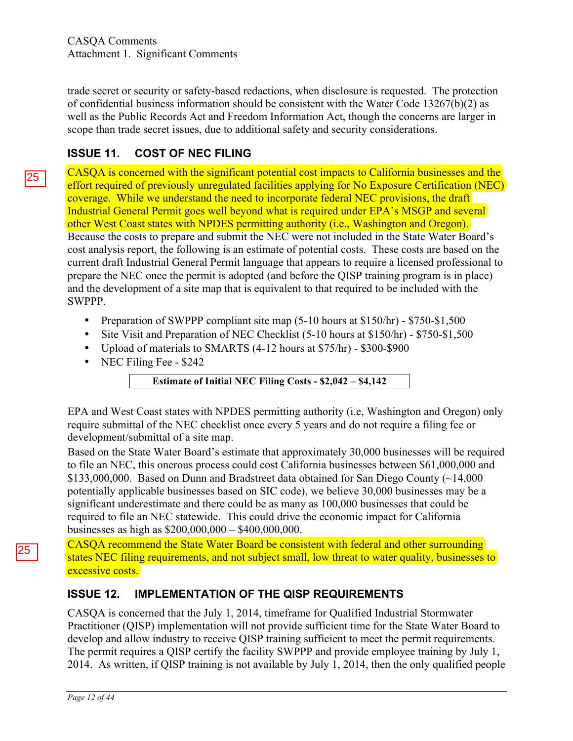trade secret or security or safety-based redactions, when disclosure is requested. The protection of confidential business information should be consistent with the Water Code 13267(b)(2) as well as the Public Records Act and Freedom Information Act, though the concerns are larger in scope than trade secret issues, due to additional safety and security considerations.

# **ISSUE 11. COST OF NEC FILING**

CASQA is concerned with the significant potential cost impacts to California businesses and the effort required of previously unregulated facilities applying for No Exposure Certification (NEC) coverage. While we understand the need to incorporate federal NEC provisions, the draft Industrial General Permit goes well beyond what is required under EPA's MSGP and several other West Coast states with NPDES permitting authority (i.e., Washington and Oregon). Because the costs to prepare and submit the NEC were not included in the State Water Board's cost analysis report, the following is an estimate of potential costs. These costs are based on the current draft Industrial General Permit language that appears to require a licensed professional to prepare the NEC once the permit is adopted (and before the QISP training program is in place) and the development of a site map that is equivalent to that required to be included with the SWPPP.

- Preparation of SWPPP compliant site map (5-10 hours at \$150/hr) \$750-\$1,500
- Site Visit and Preparation of NEC Checklist (5-10 hours at \$150/hr) \$750-\$1,500
- Upload of materials to SMARTS (4-12 hours at \$75/hr) \$300-\$900
- NEC Filing Fee \$242

**Estimate of Initial NEC Filing Costs - \$2,042 – \$4,142**

EPA and West Coast states with NPDES permitting authority (i.e, Washington and Oregon) only require submittal of the NEC checklist once every 5 years and do not require a filing fee or development/submittal of a site map.

Based on the State Water Board's estimate that approximately 30,000 businesses will be required to file an NEC, this onerous process could cost California businesses between \$61,000,000 and \$133,000,000. Based on Dunn and Bradstreet data obtained for San Diego County (~14,000 potentially applicable businesses based on SIC code), we believe 30,000 businesses may be a significant underestimate and there could be as many as 100,000 businesses that could be required to file an NEC statewide. This could drive the economic impact for California businesses as high as \$200,000,000 – \$400,000,000.

CASQA recommend the State Water Board be consistent with federal and other surrounding states NEC filing requirements, and not subject small, low threat to water quality, businesses to excessive costs.

# **ISSUE 12. IMPLEMENTATION OF THE QISP REQUIREMENTS**

CASQA is concerned that the July 1, 2014, timeframe for Qualified Industrial Stormwater Practitioner (QISP) implementation will not provide sufficient time for the State Water Board to develop and allow industry to receive QISP training sufficient to meet the permit requirements. The permit requires a QISP certify the facility SWPPP and provide employee training by July 1, 2014. As written, if QISP training is not available by July 1, 2014, then the only qualified people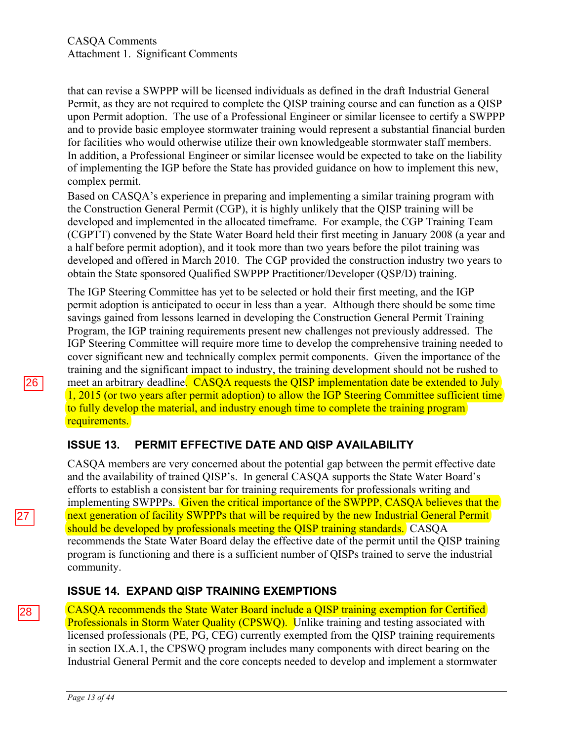that can revise a SWPPP will be licensed individuals as defined in the draft Industrial General Permit, as they are not required to complete the QISP training course and can function as a QISP upon Permit adoption. The use of a Professional Engineer or similar licensee to certify a SWPPP and to provide basic employee stormwater training would represent a substantial financial burden for facilities who would otherwise utilize their own knowledgeable stormwater staff members. In addition, a Professional Engineer or similar licensee would be expected to take on the liability of implementing the IGP before the State has provided guidance on how to implement this new, complex permit.

Based on CASQA's experience in preparing and implementing a similar training program with the Construction General Permit (CGP), it is highly unlikely that the QISP training will be developed and implemented in the allocated timeframe. For example, the CGP Training Team (CGPTT) convened by the State Water Board held their first meeting in January 2008 (a year and a half before permit adoption), and it took more than two years before the pilot training was developed and offered in March 2010. The CGP provided the construction industry two years to obtain the State sponsored Qualified SWPPP Practitioner/Developer (QSP/D) training.

The IGP Steering Committee has yet to be selected or hold their first meeting, and the IGP permit adoption is anticipated to occur in less than a year. Although there should be some time savings gained from lessons learned in developing the Construction General Permit Training Program, the IGP training requirements present new challenges not previously addressed. The IGP Steering Committee will require more time to develop the comprehensive training needed to cover significant new and technically complex permit components. Given the importance of the training and the significant impact to industry, the training development should not be rushed to meet an arbitrary deadline. CASOA requests the OISP implementation date be extended to July 1, 2015 (or two years after permit adoption) to allow the IGP Steering Committee sufficient time to fully develop the material, and industry enough time to complete the training program requirements.

### **ISSUE 13. PERMIT EFFECTIVE DATE AND QISP AVAILABILITY**

CASQA members are very concerned about the potential gap between the permit effective date and the availability of trained QISP's. In general CASQA supports the State Water Board's efforts to establish a consistent bar for training requirements for professionals writing and implementing SWPPPs. Given the critical importance of the SWPPP, CASQA believes that the next generation of facility SWPPPs that will be required by the new Industrial General Permit should be developed by professionals meeting the QISP training standards. CASQA recommends the State Water Board delay the effective date of the permit until the QISP training program is functioning and there is a sufficient number of QISPs trained to serve the industrial community.

### **ISSUE 14. EXPAND QISP TRAINING EXEMPTIONS**

CASQA recommends the State Water Board include a QISP training exemption for Certified Professionals in Storm Water Quality (CPSWQ). Unlike training and testing associated with licensed professionals (PE, PG, CEG) currently exempted from the QISP training requirements in section IX.A.1, the CPSWQ program includes many components with direct bearing on the Industrial General Permit and the core concepts needed to develop and implement a stormwater

28.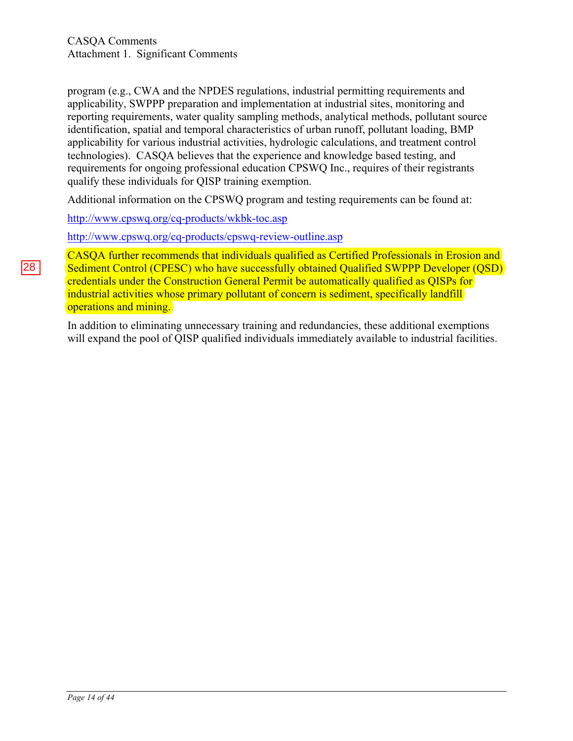program (e.g., CWA and the NPDES regulations, industrial permitting requirements and applicability, SWPPP preparation and implementation at industrial sites, monitoring and reporting requirements, water quality sampling methods, analytical methods, pollutant source identification, spatial and temporal characteristics of urban runoff, pollutant loading, BMP applicability for various industrial activities, hydrologic calculations, and treatment control technologies). CASQA believes that the experience and knowledge based testing, and requirements for ongoing professional education CPSWQ Inc., requires of their registrants qualify these individuals for QISP training exemption.

Additional information on the CPSWQ program and testing requirements can be found at:

http://www.cpswq.org/cq-products/wkbk-toc.asp

http://www.cpswq.org/cq-products/cpswq-review-outline.asp

CASQA further recommends that individuals qualified as Certified Professionals in Erosion and Sediment Control (CPESC) who have successfully obtained Qualified SWPPP Developer (QSD) credentials under the Construction General Permit be automatically qualified as QISPs for industrial activities whose primary pollutant of concern is sediment, specifically landfill operations and mining.

In addition to eliminating unnecessary training and redundancies, these additional exemptions will expand the pool of OISP qualified individuals immediately available to industrial facilities.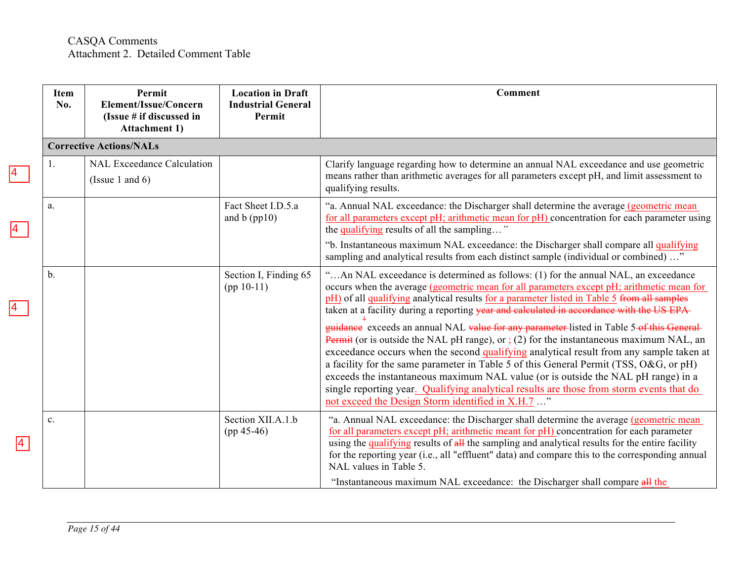|                 | Item<br>No.   | Permit<br>Element/Issue/Concern<br>(Issue # if discussed in<br><b>Attachment 1)</b> | <b>Location in Draft</b><br><b>Industrial General</b><br>Permit | Comment                                                                                                                                                                                                                                                                                                                                                                                                                                                                                                                                                                                                                                                                                                                                                                                                                                                                                                                                                                                              |
|-----------------|---------------|-------------------------------------------------------------------------------------|-----------------------------------------------------------------|------------------------------------------------------------------------------------------------------------------------------------------------------------------------------------------------------------------------------------------------------------------------------------------------------------------------------------------------------------------------------------------------------------------------------------------------------------------------------------------------------------------------------------------------------------------------------------------------------------------------------------------------------------------------------------------------------------------------------------------------------------------------------------------------------------------------------------------------------------------------------------------------------------------------------------------------------------------------------------------------------|
|                 |               | <b>Corrective Actions/NALs</b>                                                      |                                                                 |                                                                                                                                                                                                                                                                                                                                                                                                                                                                                                                                                                                                                                                                                                                                                                                                                                                                                                                                                                                                      |
| $\vert 4 \vert$ | 1.            | <b>NAL Exceedance Calculation</b><br>(Issue 1 and $6$ )                             |                                                                 | Clarify language regarding how to determine an annual NAL exceedance and use geometric<br>means rather than arithmetic averages for all parameters except pH, and limit assessment to<br>qualifying results.                                                                                                                                                                                                                                                                                                                                                                                                                                                                                                                                                                                                                                                                                                                                                                                         |
|                 | a.            |                                                                                     | Fact Sheet I.D.5.a<br>and $b$ (pp10)                            | "a. Annual NAL exceedance: the Discharger shall determine the average (geometric mean<br>for all parameters except pH; arithmetic mean for pH) concentration for each parameter using<br>the qualifying results of all the sampling"                                                                                                                                                                                                                                                                                                                                                                                                                                                                                                                                                                                                                                                                                                                                                                 |
|                 |               |                                                                                     |                                                                 | "b. Instantaneous maximum NAL exceedance: the Discharger shall compare all qualifying<br>sampling and analytical results from each distinct sample (individual or combined) "                                                                                                                                                                                                                                                                                                                                                                                                                                                                                                                                                                                                                                                                                                                                                                                                                        |
|                 | $\mathbf b$ . |                                                                                     | Section I, Finding 65<br>$(pp 10-11)$                           | "An NAL exceedance is determined as follows: (1) for the annual NAL, an exceedance<br>occurs when the average (geometric mean for all parameters except pH; arithmetic mean for<br>pH) of all qualifying analytical results for a parameter listed in Table 5 from all samples<br>taken at a facility during a reporting year and calculated in accordance with the US EPA-<br>guidance exceeds an annual NAL value for any parameter-listed in Table 5-of this General-<br><b>Permit</b> (or is outside the NAL pH range), or $(2)$ for the instantaneous maximum NAL, an<br>exceedance occurs when the second qualifying analytical result from any sample taken at<br>a facility for the same parameter in Table 5 of this General Permit (TSS, O&G, or pH)<br>exceeds the instantaneous maximum NAL value (or is outside the NAL pH range) in a<br>single reporting year. Qualifying analytical results are those from storm events that do<br>not exceed the Design Storm identified in X.H.7 " |
| $\vert 4 \vert$ | c.            |                                                                                     | Section XII.A.1.b<br>$(pp 45-46)$                               | "a. Annual NAL exceedance: the Discharger shall determine the average (geometric mean<br>for all parameters except pH; arithmetic meant for pH) concentration for each parameter<br>using the qualifying results of all the sampling and analytical results for the entire facility<br>for the reporting year (i.e., all "effluent" data) and compare this to the corresponding annual<br>NAL values in Table 5.<br>"Instantaneous maximum NAL exceedance: the Discharger shall compare all the                                                                                                                                                                                                                                                                                                                                                                                                                                                                                                      |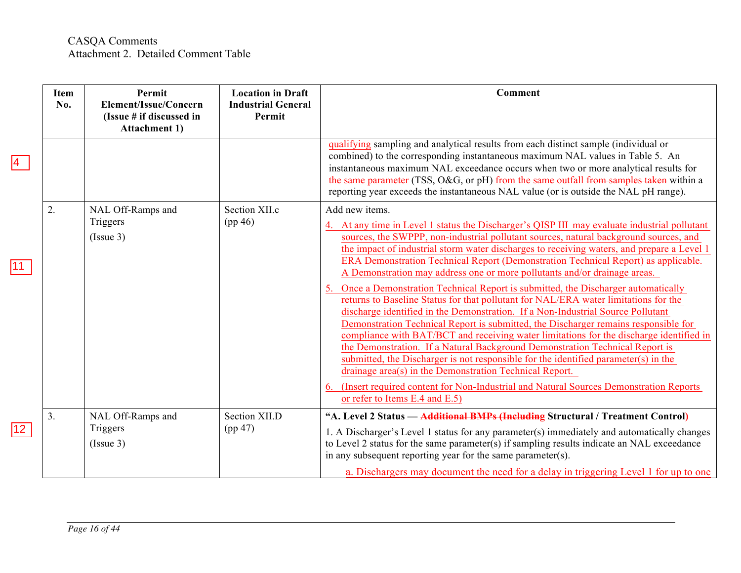|              | Item<br>No. | Permit<br>Element/Issue/Concern<br>(Issue # if discussed in<br><b>Attachment 1)</b> | <b>Location in Draft</b><br><b>Industrial General</b><br>Permit | <b>Comment</b>                                                                                                                                                                                                                                                                                                                                                                                                                                                                                                                                                                                                                                                                                                                                                                                                                                                                                                                                                                                                                                                                                                                                                                                                                                                                               |
|--------------|-------------|-------------------------------------------------------------------------------------|-----------------------------------------------------------------|----------------------------------------------------------------------------------------------------------------------------------------------------------------------------------------------------------------------------------------------------------------------------------------------------------------------------------------------------------------------------------------------------------------------------------------------------------------------------------------------------------------------------------------------------------------------------------------------------------------------------------------------------------------------------------------------------------------------------------------------------------------------------------------------------------------------------------------------------------------------------------------------------------------------------------------------------------------------------------------------------------------------------------------------------------------------------------------------------------------------------------------------------------------------------------------------------------------------------------------------------------------------------------------------|
|              |             |                                                                                     |                                                                 | qualifying sampling and analytical results from each distinct sample (individual or<br>combined) to the corresponding instantaneous maximum NAL values in Table 5. An<br>instantaneous maximum NAL exceedance occurs when two or more analytical results for<br>the same parameter (TSS, O&G, or pH) from the same outfall from samples taken within a<br>reporting year exceeds the instantaneous NAL value (or is outside the NAL pH range).                                                                                                                                                                                                                                                                                                                                                                                                                                                                                                                                                                                                                                                                                                                                                                                                                                               |
| 11           | 2.          | NAL Off-Ramps and<br>Triggers<br>(Is sue 3)                                         | Section XII.c<br>(pp 46)                                        | Add new items.<br>4. At any time in Level 1 status the Discharger's QISP III may evaluate industrial pollutant<br>sources, the SWPPP, non-industrial pollutant sources, natural background sources, and<br>the impact of industrial storm water discharges to receiving waters, and prepare a Level 1<br>ERA Demonstration Technical Report (Demonstration Technical Report) as applicable.<br>A Demonstration may address one or more pollutants and/or drainage areas.<br>Once a Demonstration Technical Report is submitted, the Discharger automatically<br>returns to Baseline Status for that pollutant for NAL/ERA water limitations for the<br>discharge identified in the Demonstration. If a Non-Industrial Source Pollutant<br>Demonstration Technical Report is submitted, the Discharger remains responsible for<br>compliance with BAT/BCT and receiving water limitations for the discharge identified in<br>the Demonstration. If a Natural Background Demonstration Technical Report is<br>submitted, the Discharger is not responsible for the identified parameter(s) in the<br>drainage area(s) in the Demonstration Technical Report.<br>(Insert required content for Non-Industrial and Natural Sources Demonstration Reports)<br>6.<br>or refer to Items E.4 and E.5) |
| $ 12\rangle$ | 3.          | NAL Off-Ramps and<br>Triggers<br>(Is sue 3)                                         | Section XII.D<br>(pp 47)                                        | "A. Level 2 Status — Additional BMPs (Including Structural / Treatment Control)<br>1. A Discharger's Level 1 status for any parameter(s) immediately and automatically changes<br>to Level 2 status for the same parameter(s) if sampling results indicate an NAL exceedance<br>in any subsequent reporting year for the same parameter(s).<br>a. Dischargers may document the need for a delay in triggering Level 1 for up to one                                                                                                                                                                                                                                                                                                                                                                                                                                                                                                                                                                                                                                                                                                                                                                                                                                                          |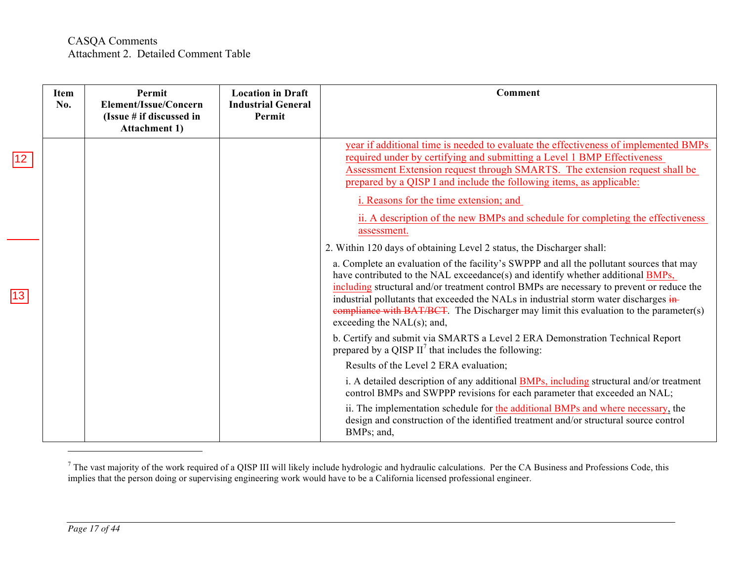|             | Item<br>No. | Permit<br>Element/Issue/Concern<br>(Issue $#$ if discussed in<br><b>Attachment 1)</b> | <b>Location in Draft</b><br><b>Industrial General</b><br>Permit | <b>Comment</b>                                                                                                                                                                                                                                                                                                                                                                                                                                                                                                                                                       |
|-------------|-------------|---------------------------------------------------------------------------------------|-----------------------------------------------------------------|----------------------------------------------------------------------------------------------------------------------------------------------------------------------------------------------------------------------------------------------------------------------------------------------------------------------------------------------------------------------------------------------------------------------------------------------------------------------------------------------------------------------------------------------------------------------|
| $\sqrt{12}$ |             |                                                                                       |                                                                 | year if additional time is needed to evaluate the effectiveness of implemented BMPs<br>required under by certifying and submitting a Level 1 BMP Effectiveness<br>Assessment Extension request through SMARTS. The extension request shall be<br>prepared by a QISP I and include the following items, as applicable:<br>i. Reasons for the time extension; and<br>ii. A description of the new BMPs and schedule for completing the effectiveness<br>assessment.                                                                                                    |
| 13          |             |                                                                                       |                                                                 | 2. Within 120 days of obtaining Level 2 status, the Discharger shall:<br>a. Complete an evaluation of the facility's SWPPP and all the pollutant sources that may<br>have contributed to the NAL exceedance(s) and identify whether additional BMPs,<br>including structural and/or treatment control BMPs are necessary to prevent or reduce the<br>industrial pollutants that exceeded the NALs in industrial storm water discharges in-<br>eompliance with BAT/BCT. The Discharger may limit this evaluation to the parameter(s)<br>exceeding the $NAL(s)$ ; and, |
|             |             |                                                                                       |                                                                 | b. Certify and submit via SMARTS a Level 2 ERA Demonstration Technical Report<br>prepared by a QISP $II^7$ that includes the following:<br>Results of the Level 2 ERA evaluation;<br>i. A detailed description of any additional <b>BMPs</b> , including structural and/or treatment<br>control BMPs and SWPPP revisions for each parameter that exceeded an NAL;                                                                                                                                                                                                    |
|             |             |                                                                                       |                                                                 | ii. The implementation schedule for the additional BMPs and where necessary, the<br>design and construction of the identified treatment and/or structural source control<br>BMPs; and,                                                                                                                                                                                                                                                                                                                                                                               |

 $^7$  The vast majority of the work required of a QISP III will likely include hydrologic and hydraulic calculations. Per the CA Business and Professions Code, this implies that the person doing or supervising engineering work would have to be a California licensed professional engineer.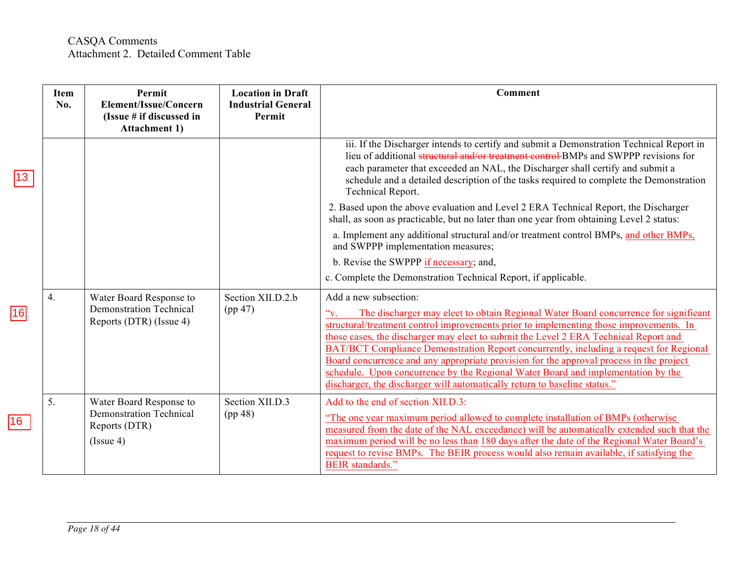|                 | Item<br>No. | Permit<br>Element/Issue/Concern<br>(Issue # if discussed in<br><b>Attachment 1)</b>      | <b>Location in Draft</b><br><b>Industrial General</b><br>Permit | <b>Comment</b>                                                                                                                                                                                                                                                                                                                                                                                                                                                                                                                                                                                                                                       |
|-----------------|-------------|------------------------------------------------------------------------------------------|-----------------------------------------------------------------|------------------------------------------------------------------------------------------------------------------------------------------------------------------------------------------------------------------------------------------------------------------------------------------------------------------------------------------------------------------------------------------------------------------------------------------------------------------------------------------------------------------------------------------------------------------------------------------------------------------------------------------------------|
| 13 <sup>°</sup> |             |                                                                                          |                                                                 | iii. If the Discharger intends to certify and submit a Demonstration Technical Report in<br>lieu of additional structural and/or treatment control BMPs and SWPPP revisions for<br>each parameter that exceeded an NAL, the Discharger shall certify and submit a<br>schedule and a detailed description of the tasks required to complete the Demonstration<br><b>Technical Report.</b>                                                                                                                                                                                                                                                             |
|                 |             |                                                                                          |                                                                 | 2. Based upon the above evaluation and Level 2 ERA Technical Report, the Discharger<br>shall, as soon as practicable, but no later than one year from obtaining Level 2 status:                                                                                                                                                                                                                                                                                                                                                                                                                                                                      |
|                 |             |                                                                                          |                                                                 | a. Implement any additional structural and/or treatment control BMPs, and other BMPs,<br>and SWPPP implementation measures;                                                                                                                                                                                                                                                                                                                                                                                                                                                                                                                          |
|                 |             |                                                                                          |                                                                 | b. Revise the SWPPP if necessary; and,                                                                                                                                                                                                                                                                                                                                                                                                                                                                                                                                                                                                               |
|                 |             |                                                                                          |                                                                 | c. Complete the Demonstration Technical Report, if applicable.                                                                                                                                                                                                                                                                                                                                                                                                                                                                                                                                                                                       |
| 16              | 4.          | Water Board Response to<br><b>Demonstration Technical</b><br>Reports (DTR) (Issue 4)     | Section XII.D.2.b<br>(pp 47)                                    | Add a new subsection:<br>The discharger may elect to obtain Regional Water Board concurrence for significant<br>structural/treatment control improvements prior to implementing those improvements. In<br>those cases, the discharger may elect to submit the Level 2 ERA Technical Report and<br>BAT/BCT Compliance Demonstration Report concurrently, including a request for Regional<br>Board concurrence and any appropriate provision for the approval process in the project<br>schedule. Upon concurrence by the Regional Water Board and implementation by the<br>discharger, the discharger will automatically return to baseline status." |
| $ 16\rangle$    | 5.          | Water Board Response to<br><b>Demonstration Technical</b><br>Reports (DTR)<br>(Is sue 4) | Section XII.D.3<br>(pp 48)                                      | Add to the end of section XII.D.3:<br>"The one year maximum period allowed to complete installation of BMPs (otherwise)<br>measured from the date of the NAL exceedance) will be automatically extended such that the<br>maximum period will be no less than 180 days after the date of the Regional Water Board's<br>request to revise BMPs. The BEIR process would also remain available, if satisfying the<br><b>BEIR</b> standards."                                                                                                                                                                                                             |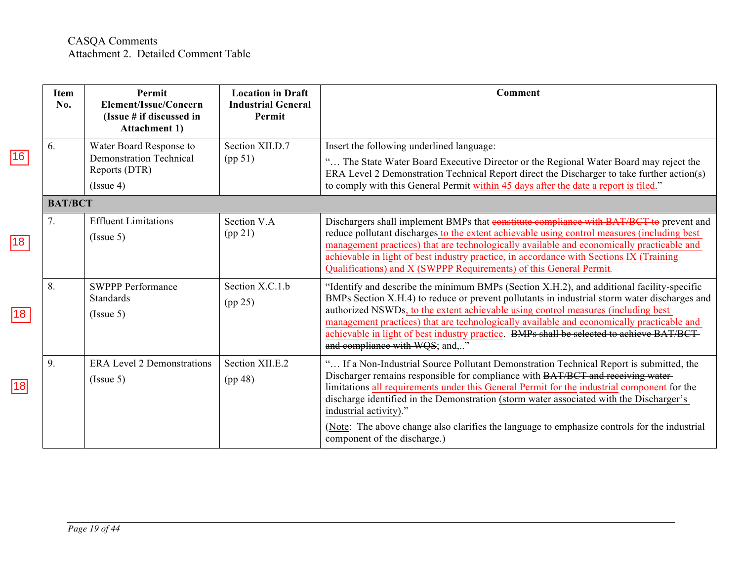|              | <b>Item</b><br>No. | Permit<br>Element/Issue/Concern<br>(Issue # if discussed in<br><b>Attachment 1)</b>     | <b>Location in Draft</b><br><b>Industrial General</b><br>Permit | Comment                                                                                                                                                                                                                                                                                                                                                                                                                                                                                                                        |
|--------------|--------------------|-----------------------------------------------------------------------------------------|-----------------------------------------------------------------|--------------------------------------------------------------------------------------------------------------------------------------------------------------------------------------------------------------------------------------------------------------------------------------------------------------------------------------------------------------------------------------------------------------------------------------------------------------------------------------------------------------------------------|
| 16           | 6.                 | Water Board Response to<br><b>Demonstration Technical</b><br>Reports (DTR)<br>(Issue 4) | Section XII.D.7<br>(pp 51)                                      | Insert the following underlined language:<br>" The State Water Board Executive Director or the Regional Water Board may reject the<br>ERA Level 2 Demonstration Technical Report direct the Discharger to take further action(s)<br>to comply with this General Permit within 45 days after the date a report is filed."                                                                                                                                                                                                       |
|              | <b>BAT/BCT</b>     |                                                                                         |                                                                 |                                                                                                                                                                                                                                                                                                                                                                                                                                                                                                                                |
| 18           | 7.                 | <b>Effluent Limitations</b><br>(Issue 5)                                                | Section V.A<br>(pp 21)                                          | Dischargers shall implement BMPs that constitute compliance with BAT/BCT to prevent and<br>reduce pollutant discharges to the extent achievable using control measures (including best<br>management practices) that are technologically available and economically practicable and<br>achievable in light of best industry practice, in accordance with Sections IX (Training<br>Qualifications) and X (SWPPP Requirements) of this General Permit.                                                                           |
| $ 18\rangle$ | 8.                 | <b>SWPPP Performance</b><br><b>Standards</b><br>(Issue 5)                               | Section X.C.1.b<br>(pp 25)                                      | "Identify and describe the minimum BMPs (Section X.H.2), and additional facility-specific<br>BMPs Section X.H.4) to reduce or prevent pollutants in industrial storm water discharges and<br>authorized NSWDs, to the extent achievable using control measures (including best<br>management practices) that are technologically available and economically practicable and<br>achievable in light of best industry practice. BMPs shall be selected to achieve BAT/BCT-<br>and compliance with WQS; and,"                     |
| 18           | 9.                 | <b>ERA Level 2 Demonstrations</b><br>(Issue 5)                                          | Section XII.E.2<br>(pp 48)                                      | " If a Non-Industrial Source Pollutant Demonstration Technical Report is submitted, the<br>Discharger remains responsible for compliance with BAT/BCT and receiving water-<br>limitations all requirements under this General Permit for the industrial component for the<br>discharge identified in the Demonstration (storm water associated with the Discharger's<br>industrial activity)."<br>(Note: The above change also clarifies the language to emphasize controls for the industrial<br>component of the discharge.) |

*Page 19 of 44*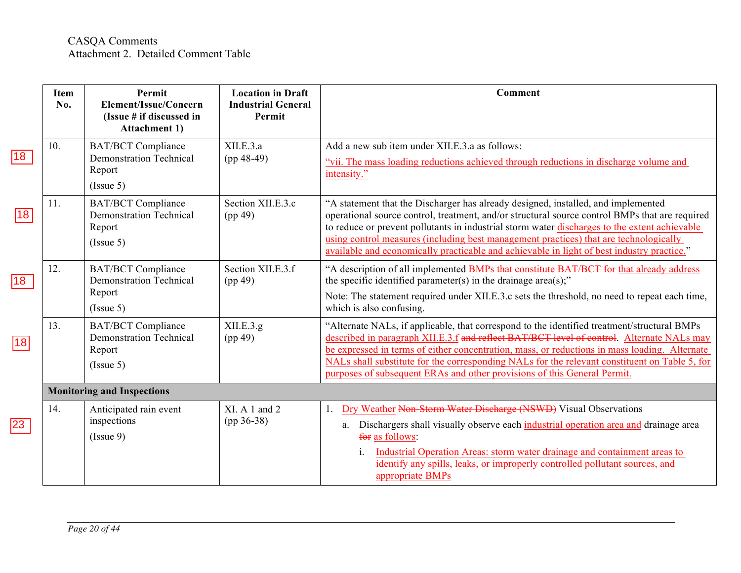|                 | <b>Item</b><br>No. | Permit<br>Element/Issue/Concern<br>(Issue # if discussed in<br><b>Attachment 1)</b> | <b>Location in Draft</b><br><b>Industrial General</b><br>Permit | Comment                                                                                                                                                                                                                                                                                                                                                                                                                                                                     |
|-----------------|--------------------|-------------------------------------------------------------------------------------|-----------------------------------------------------------------|-----------------------------------------------------------------------------------------------------------------------------------------------------------------------------------------------------------------------------------------------------------------------------------------------------------------------------------------------------------------------------------------------------------------------------------------------------------------------------|
| 18              | 10.                | <b>BAT/BCT Compliance</b><br><b>Demonstration Technical</b><br>Report<br>(Issue 5)  | XII.E.3.a<br>$(pp 48-49)$                                       | Add a new sub item under XII.E.3.a as follows:<br>"vii. The mass loading reductions achieved through reductions in discharge volume and<br>intensity."                                                                                                                                                                                                                                                                                                                      |
| $\sqrt{18}$     | 11.                | <b>BAT/BCT Compliance</b><br><b>Demonstration Technical</b><br>Report<br>(Issue 5)  | Section XII.E.3.c<br>(pp 49)                                    | "A statement that the Discharger has already designed, installed, and implemented<br>operational source control, treatment, and/or structural source control BMPs that are required<br>to reduce or prevent pollutants in industrial storm water discharges to the extent achievable<br>using control measures (including best management practices) that are technologically<br>available and economically practicable and achievable in light of best industry practice." |
| $\overline{18}$ | 12.                | <b>BAT/BCT Compliance</b><br><b>Demonstration Technical</b><br>Report<br>(Issue 5)  | Section XII.E.3.f<br>(pp 49)                                    | "A description of all implemented BMPs that constitute BAT/BCT for that already address<br>the specific identified parameter(s) in the drainage area(s);"<br>Note: The statement required under XII.E.3.c sets the threshold, no need to repeat each time,<br>which is also confusing.                                                                                                                                                                                      |
| 18              | 13.                | <b>BAT/BCT Compliance</b><br><b>Demonstration Technical</b><br>Report<br>(Issue 5)  | XII.E.3.g.<br>(pp 49)                                           | "Alternate NALs, if applicable, that correspond to the identified treatment/structural BMPs<br>described in paragraph XII.E.3.f and reflect BAT/BCT level of control. Alternate NALs may<br>be expressed in terms of either concentration, mass, or reductions in mass loading. Alternate<br>NALs shall substitute for the corresponding NALs for the relevant constituent on Table 5, for<br>purposes of subsequent ERAs and other provisions of this General Permit.      |
|                 |                    | <b>Monitoring and Inspections</b>                                                   |                                                                 |                                                                                                                                                                                                                                                                                                                                                                                                                                                                             |
|                 | 14.                | Anticipated rain event<br>inspections<br>(Issue 9)                                  | XI. A 1 and 2<br>$(pp 36-38)$                                   | Dry Weather Non-Storm Water Discharge (NSWD) Visual Observations<br>1.<br>Dischargers shall visually observe each industrial operation area and drainage area<br>a.<br>for as follows:<br>Industrial Operation Areas: storm water drainage and containment areas to<br>1.<br>identify any spills, leaks, or improperly controlled pollutant sources, and<br>appropriate BMPs                                                                                                |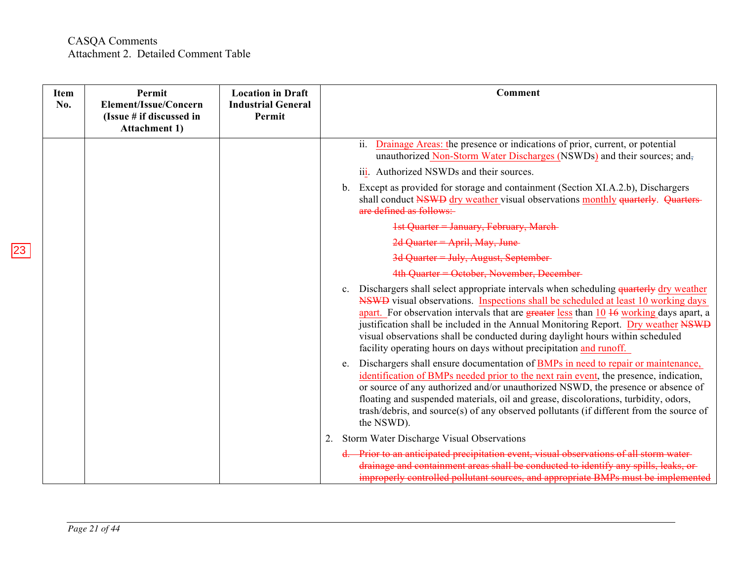| <b>Item</b><br>No. | Permit<br>Element/Issue/Concern<br>(Issue # if discussed in<br><b>Attachment 1)</b> | <b>Location in Draft</b><br><b>Industrial General</b><br>Permit | Comment                                                                                                                                                                                                                                                                                                                                                                                                                                                                                                                         |
|--------------------|-------------------------------------------------------------------------------------|-----------------------------------------------------------------|---------------------------------------------------------------------------------------------------------------------------------------------------------------------------------------------------------------------------------------------------------------------------------------------------------------------------------------------------------------------------------------------------------------------------------------------------------------------------------------------------------------------------------|
|                    |                                                                                     |                                                                 | ii.<br>Drainage Areas: the presence or indications of prior, current, or potential<br>unauthorized Non-Storm Water Discharges (NSWDs) and their sources; and-                                                                                                                                                                                                                                                                                                                                                                   |
|                    |                                                                                     |                                                                 | iii. Authorized NSWDs and their sources.                                                                                                                                                                                                                                                                                                                                                                                                                                                                                        |
|                    |                                                                                     |                                                                 | Except as provided for storage and containment (Section XI.A.2.b), Dischargers<br>b.<br>shall conduct NSWD dry weather visual observations monthly quarterly. Quarters-<br>are defined as follows:-                                                                                                                                                                                                                                                                                                                             |
|                    |                                                                                     |                                                                 | 1st Quarter = January, February, March-                                                                                                                                                                                                                                                                                                                                                                                                                                                                                         |
|                    |                                                                                     |                                                                 | 2d Quarter = April, May, June                                                                                                                                                                                                                                                                                                                                                                                                                                                                                                   |
|                    |                                                                                     |                                                                 | 3d Quarter = July, August, September-                                                                                                                                                                                                                                                                                                                                                                                                                                                                                           |
|                    |                                                                                     |                                                                 | 4th Quarter = October, November, December-                                                                                                                                                                                                                                                                                                                                                                                                                                                                                      |
|                    |                                                                                     |                                                                 | Dischargers shall select appropriate intervals when scheduling quarterly dry weather<br>$c_{\cdot}$<br>NSWD visual observations. Inspections shall be scheduled at least 10 working days<br>apart. For observation intervals that are greater less than 10 46 working days apart, a<br>justification shall be included in the Annual Monitoring Report. Dry weather NSWD<br>visual observations shall be conducted during daylight hours within scheduled<br>facility operating hours on days without precipitation and runoff. |
|                    |                                                                                     |                                                                 | Dischargers shall ensure documentation of BMPs in need to repair or maintenance,<br>e.<br>identification of BMPs needed prior to the next rain event, the presence, indication,<br>or source of any authorized and/or unauthorized NSWD, the presence or absence of<br>floating and suspended materials, oil and grease, discolorations, turbidity, odors,<br>trash/debris, and source(s) of any observed pollutants (if different from the source of<br>the NSWD).                                                             |
|                    |                                                                                     |                                                                 | Storm Water Discharge Visual Observations<br>2.                                                                                                                                                                                                                                                                                                                                                                                                                                                                                 |
|                    |                                                                                     |                                                                 | d. Prior to an anticipated precipitation event, visual observations of all storm water-<br>drainage and containment areas shall be conducted to identify any spills, leaks, or<br>improperly controlled pollutant sources, and appropriate BMPs must be implemented                                                                                                                                                                                                                                                             |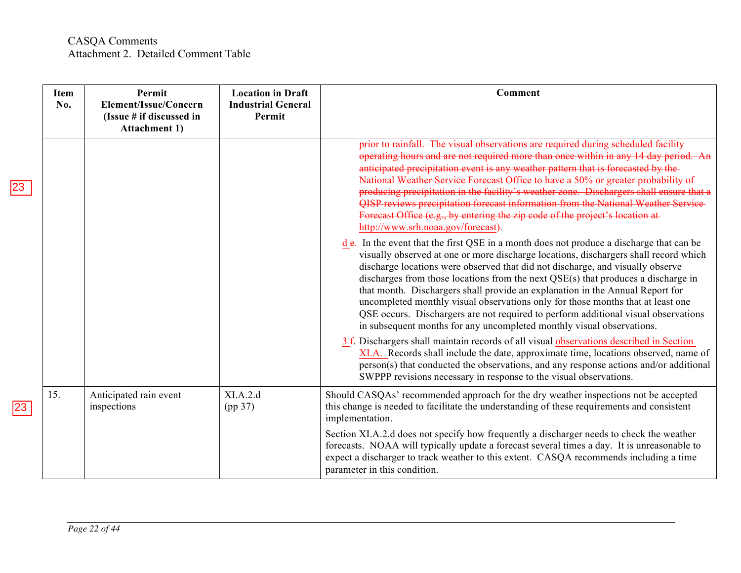|    | <b>Item</b><br>No. | Permit<br>Element/Issue/Concern<br>(Issue # if discussed in<br><b>Attachment 1)</b> | <b>Location in Draft</b><br><b>Industrial General</b><br>Permit | Comment                                                                                                                                                                                                                                                                                                                                                                                                                                                                                                                                                                                                                                                                                    |
|----|--------------------|-------------------------------------------------------------------------------------|-----------------------------------------------------------------|--------------------------------------------------------------------------------------------------------------------------------------------------------------------------------------------------------------------------------------------------------------------------------------------------------------------------------------------------------------------------------------------------------------------------------------------------------------------------------------------------------------------------------------------------------------------------------------------------------------------------------------------------------------------------------------------|
| 23 |                    |                                                                                     |                                                                 | prior to rainfall. The visual observations are required during scheduled facility-<br>operating hours and are not required more than once within in any 14 day period. An<br>anticipated precipitation event is any weather pattern that is forecasted by the-<br>National Weather Service Forecast Office to have a 50% or greater probability of<br>producing precipitation in the facility's weather zone. Dischargers shall ensure that a<br>QISP reviews precipitation forecast information from the National Weather Service<br>Forecast Office (e.g., by entering the zip code of the project's location at<br>http://www.srh.noaa.gov/forecast).                                   |
|    |                    |                                                                                     |                                                                 | d e. In the event that the first QSE in a month does not produce a discharge that can be<br>visually observed at one or more discharge locations, dischargers shall record which<br>discharge locations were observed that did not discharge, and visually observe<br>discharges from those locations from the next QSE(s) that produces a discharge in<br>that month. Dischargers shall provide an explanation in the Annual Report for<br>uncompleted monthly visual observations only for those months that at least one<br>QSE occurs. Dischargers are not required to perform additional visual observations<br>in subsequent months for any uncompleted monthly visual observations. |
|    |                    |                                                                                     |                                                                 | 3 f. Dischargers shall maintain records of all visual observations described in Section<br>XI.A. Records shall include the date, approximate time, locations observed, name of<br>person(s) that conducted the observations, and any response actions and/or additional<br>SWPPP revisions necessary in response to the visual observations.                                                                                                                                                                                                                                                                                                                                               |
|    | 15.                | Anticipated rain event<br>inspections                                               | XI.A.2.d<br>(pp 37)                                             | Should CASQAs' recommended approach for the dry weather inspections not be accepted<br>this change is needed to facilitate the understanding of these requirements and consistent<br>implementation.                                                                                                                                                                                                                                                                                                                                                                                                                                                                                       |
|    |                    |                                                                                     |                                                                 | Section XI.A.2.d does not specify how frequently a discharger needs to check the weather<br>forecasts. NOAA will typically update a forecast several times a day. It is unreasonable to<br>expect a discharger to track weather to this extent. CASQA recommends including a time<br>parameter in this condition.                                                                                                                                                                                                                                                                                                                                                                          |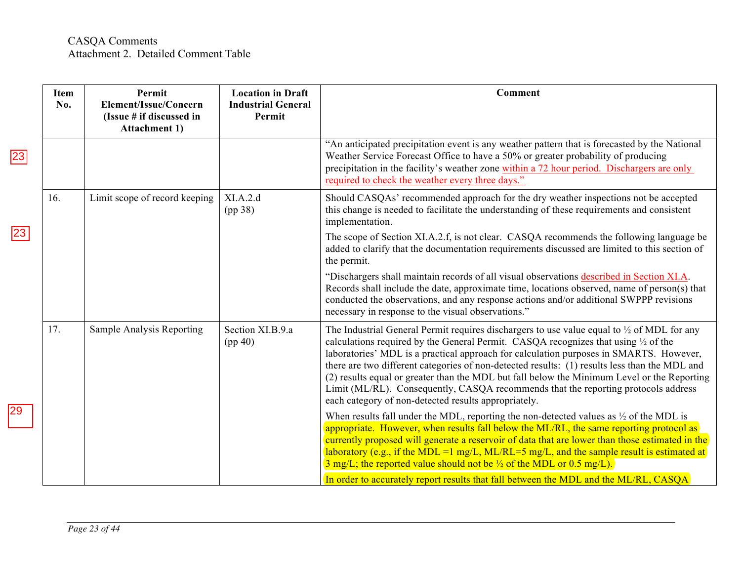|             | Item<br>No. | Permit<br>Element/Issue/Concern<br>(Issue # if discussed in<br><b>Attachment 1)</b> | <b>Location in Draft</b><br><b>Industrial General</b><br>Permit | <b>Comment</b>                                                                                                                                                                                                                                                                                                                                                                                                                                                                                                                                                                                                                                 |
|-------------|-------------|-------------------------------------------------------------------------------------|-----------------------------------------------------------------|------------------------------------------------------------------------------------------------------------------------------------------------------------------------------------------------------------------------------------------------------------------------------------------------------------------------------------------------------------------------------------------------------------------------------------------------------------------------------------------------------------------------------------------------------------------------------------------------------------------------------------------------|
| $\sqrt{23}$ |             |                                                                                     |                                                                 | "An anticipated precipitation event is any weather pattern that is forecasted by the National<br>Weather Service Forecast Office to have a 50% or greater probability of producing<br>precipitation in the facility's weather zone within a 72 hour period. Dischargers are only<br>required to check the weather every three days."                                                                                                                                                                                                                                                                                                           |
| 23          | 16.         | Limit scope of record keeping                                                       | XI.A.2.d<br>(pp 38)                                             | Should CASQAs' recommended approach for the dry weather inspections not be accepted<br>this change is needed to facilitate the understanding of these requirements and consistent<br>implementation.                                                                                                                                                                                                                                                                                                                                                                                                                                           |
|             |             |                                                                                     |                                                                 | The scope of Section XI.A.2.f, is not clear. CASQA recommends the following language be<br>added to clarify that the documentation requirements discussed are limited to this section of<br>the permit.                                                                                                                                                                                                                                                                                                                                                                                                                                        |
|             |             |                                                                                     |                                                                 | "Dischargers shall maintain records of all visual observations described in Section XI.A.<br>Records shall include the date, approximate time, locations observed, name of person(s) that<br>conducted the observations, and any response actions and/or additional SWPPP revisions<br>necessary in response to the visual observations."                                                                                                                                                                                                                                                                                                      |
|             | 17.         | Sample Analysis Reporting                                                           | Section XI.B.9.a<br>(pp 40)                                     | The Industrial General Permit requires dischargers to use value equal to $\frac{1}{2}$ of MDL for any<br>calculations required by the General Permit. CASQA recognizes that using $\frac{1}{2}$ of the<br>laboratories' MDL is a practical approach for calculation purposes in SMARTS. However,<br>there are two different categories of non-detected results: (1) results less than the MDL and<br>(2) results equal or greater than the MDL but fall below the Minimum Level or the Reporting<br>Limit (ML/RL). Consequently, CASQA recommends that the reporting protocols address<br>each category of non-detected results appropriately. |
|             |             |                                                                                     |                                                                 | When results fall under the MDL, reporting the non-detected values as $\frac{1}{2}$ of the MDL is<br>appropriate. However, when results fall below the ML/RL, the same reporting protocol as<br>currently proposed will generate a reservoir of data that are lower than those estimated in the<br>laboratory (e.g., if the MDL =1 mg/L, ML/RL=5 mg/L, and the sample result is estimated at<br>$\frac{3 \text{ mg}}{L}$ ; the reported value should not be $\frac{1}{2}$ of the MDL or 0.5 mg/L).                                                                                                                                             |
|             |             |                                                                                     |                                                                 | In order to accurately report results that fall between the MDL and the ML/RL, CASQA                                                                                                                                                                                                                                                                                                                                                                                                                                                                                                                                                           |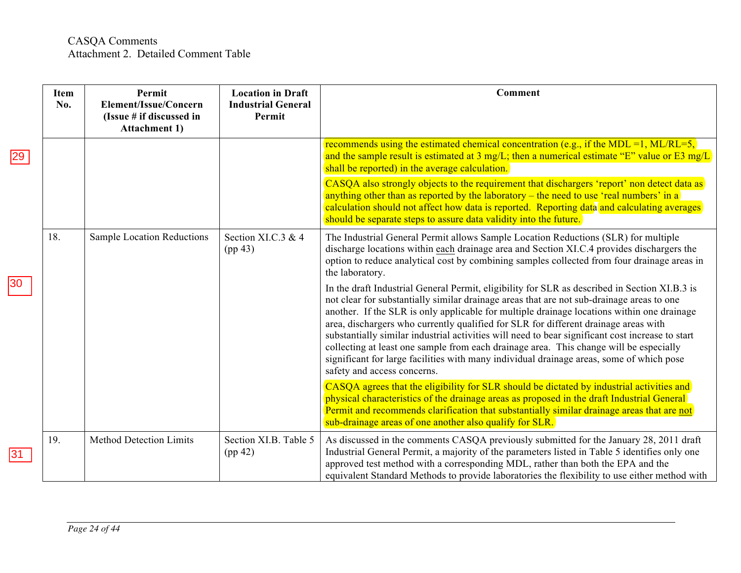|    | <b>Item</b><br>No. | Permit<br>Element/Issue/Concern<br>(Issue # if discussed in<br><b>Attachment 1)</b> | <b>Location in Draft</b><br><b>Industrial General</b><br>Permit | <b>Comment</b>                                                                                                                                                                                                                                                                                                                                                                                                                                                                                                                                                                                                                                                                                           |
|----|--------------------|-------------------------------------------------------------------------------------|-----------------------------------------------------------------|----------------------------------------------------------------------------------------------------------------------------------------------------------------------------------------------------------------------------------------------------------------------------------------------------------------------------------------------------------------------------------------------------------------------------------------------------------------------------------------------------------------------------------------------------------------------------------------------------------------------------------------------------------------------------------------------------------|
| 29 |                    |                                                                                     |                                                                 | recommends using the estimated chemical concentration (e.g., if the MDL =1, ML/RL=5,)<br>and the sample result is estimated at 3 mg/L; then a numerical estimate "E" value or E3 mg/L<br>shall be reported) in the average calculation.                                                                                                                                                                                                                                                                                                                                                                                                                                                                  |
|    |                    |                                                                                     |                                                                 | CASQA also strongly objects to the requirement that dischargers 'report' non detect data as<br>anything other than as reported by the laboratory – the need to use 'real numbers' in a<br>calculation should not affect how data is reported. Reporting data and calculating averages<br>should be separate steps to assure data validity into the future.                                                                                                                                                                                                                                                                                                                                               |
|    | 18.                | <b>Sample Location Reductions</b>                                                   | Section XI.C.3 & 4<br>(pp 43)                                   | The Industrial General Permit allows Sample Location Reductions (SLR) for multiple<br>discharge locations within each drainage area and Section XI.C.4 provides dischargers the<br>option to reduce analytical cost by combining samples collected from four drainage areas in<br>the laboratory.                                                                                                                                                                                                                                                                                                                                                                                                        |
| 30 |                    |                                                                                     |                                                                 | In the draft Industrial General Permit, eligibility for SLR as described in Section XI.B.3 is<br>not clear for substantially similar drainage areas that are not sub-drainage areas to one<br>another. If the SLR is only applicable for multiple drainage locations within one drainage<br>area, dischargers who currently qualified for SLR for different drainage areas with<br>substantially similar industrial activities will need to bear significant cost increase to start<br>collecting at least one sample from each drainage area. This change will be especially<br>significant for large facilities with many individual drainage areas, some of which pose<br>safety and access concerns. |
|    |                    |                                                                                     |                                                                 | CASQA agrees that the eligibility for SLR should be dictated by industrial activities and<br>physical characteristics of the drainage areas as proposed in the draft Industrial General<br>Permit and recommends clarification that substantially similar drainage areas that are not<br>sub-drainage areas of one another also qualify for SLR.                                                                                                                                                                                                                                                                                                                                                         |
| 31 | 19.                | <b>Method Detection Limits</b>                                                      | Section XI.B. Table 5<br>(pp 42)                                | As discussed in the comments CASQA previously submitted for the January 28, 2011 draft<br>Industrial General Permit, a majority of the parameters listed in Table 5 identifies only one<br>approved test method with a corresponding MDL, rather than both the EPA and the<br>equivalent Standard Methods to provide laboratories the flexibility to use either method with                                                                                                                                                                                                                                                                                                                              |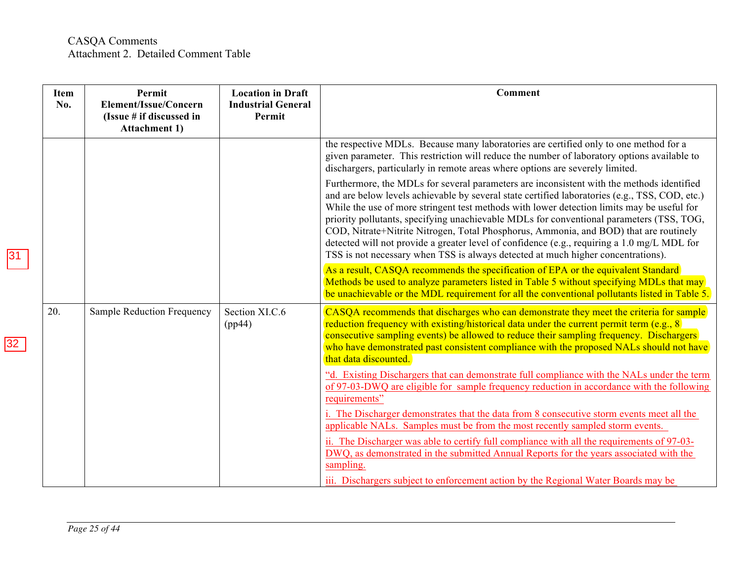| Item<br>No. | Permit<br>Element/Issue/Concern<br>(Issue # if discussed in<br><b>Attachment 1)</b> | <b>Location in Draft</b><br><b>Industrial General</b><br>Permit | <b>Comment</b>                                                                                                                                                                                                                                                                                                                                                                                                                                                                                                                                                                                                                                                    |
|-------------|-------------------------------------------------------------------------------------|-----------------------------------------------------------------|-------------------------------------------------------------------------------------------------------------------------------------------------------------------------------------------------------------------------------------------------------------------------------------------------------------------------------------------------------------------------------------------------------------------------------------------------------------------------------------------------------------------------------------------------------------------------------------------------------------------------------------------------------------------|
|             |                                                                                     |                                                                 | the respective MDLs. Because many laboratories are certified only to one method for a<br>given parameter. This restriction will reduce the number of laboratory options available to<br>dischargers, particularly in remote areas where options are severely limited.                                                                                                                                                                                                                                                                                                                                                                                             |
|             |                                                                                     |                                                                 | Furthermore, the MDLs for several parameters are inconsistent with the methods identified<br>and are below levels achievable by several state certified laboratories (e.g., TSS, COD, etc.)<br>While the use of more stringent test methods with lower detection limits may be useful for<br>priority pollutants, specifying unachievable MDLs for conventional parameters (TSS, TOG,<br>COD, Nitrate+Nitrite Nitrogen, Total Phosphorus, Ammonia, and BOD) that are routinely<br>detected will not provide a greater level of confidence (e.g., requiring a 1.0 mg/L MDL for<br>TSS is not necessary when TSS is always detected at much higher concentrations). |
|             |                                                                                     |                                                                 | As a result, CASQA recommends the specification of EPA or the equivalent Standard<br>Methods be used to analyze parameters listed in Table 5 without specifying MDLs that may<br>be unachievable or the MDL requirement for all the conventional pollutants listed in Table 5.                                                                                                                                                                                                                                                                                                                                                                                    |
| 20.         | Sample Reduction Frequency                                                          | Section XI.C.6<br>(pp44)                                        | CASQA recommends that discharges who can demonstrate they meet the criteria for sample<br>reduction frequency with existing/historical data under the current permit term $(e.g., 8)$<br>consecutive sampling events) be allowed to reduce their sampling frequency. Dischargers<br>who have demonstrated past consistent compliance with the proposed NALs should not have<br>that data discounted.                                                                                                                                                                                                                                                              |
|             |                                                                                     |                                                                 | "d. Existing Dischargers that can demonstrate full compliance with the NALs under the term<br>of 97-03-DWQ are eligible for sample frequency reduction in accordance with the following<br>requirements"                                                                                                                                                                                                                                                                                                                                                                                                                                                          |
|             |                                                                                     |                                                                 | i. The Discharger demonstrates that the data from 8 consecutive storm events meet all the<br>applicable NALs. Samples must be from the most recently sampled storm events.                                                                                                                                                                                                                                                                                                                                                                                                                                                                                        |
|             |                                                                                     |                                                                 | ii. The Discharger was able to certify full compliance with all the requirements of 97-03-<br>DWQ, as demonstrated in the submitted Annual Reports for the years associated with the<br>sampling.                                                                                                                                                                                                                                                                                                                                                                                                                                                                 |
|             |                                                                                     |                                                                 | iii. Dischargers subject to enforcement action by the Regional Water Boards may be                                                                                                                                                                                                                                                                                                                                                                                                                                                                                                                                                                                |

31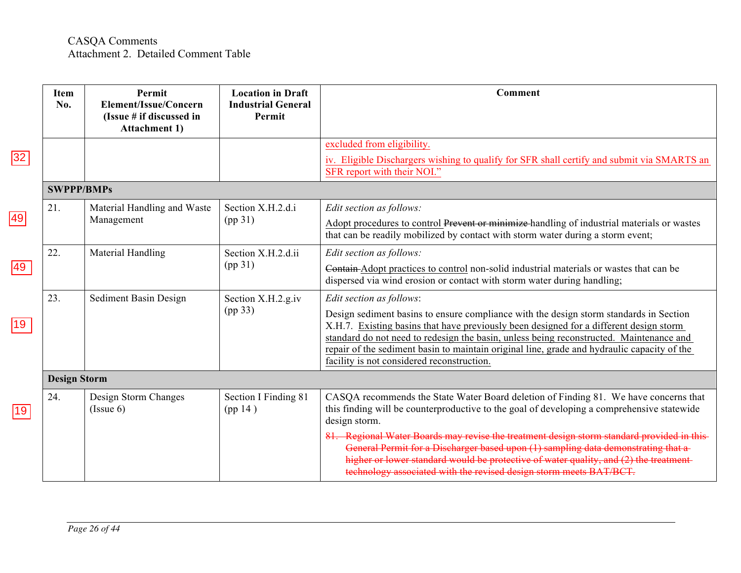|              | <b>Item</b><br>No.  | Permit<br>Element/Issue/Concern<br>(Issue # if discussed in<br><b>Attachment 1)</b> | <b>Location in Draft</b><br><b>Industrial General</b><br>Permit | Comment                                                                                                                                                                                                                                                                                                                                                                                                                                              |
|--------------|---------------------|-------------------------------------------------------------------------------------|-----------------------------------------------------------------|------------------------------------------------------------------------------------------------------------------------------------------------------------------------------------------------------------------------------------------------------------------------------------------------------------------------------------------------------------------------------------------------------------------------------------------------------|
|              |                     |                                                                                     |                                                                 | excluded from eligibility.                                                                                                                                                                                                                                                                                                                                                                                                                           |
| 32           |                     |                                                                                     |                                                                 | iv. Eligible Dischargers wishing to qualify for SFR shall certify and submit via SMARTS an<br>SFR report with their NOI."                                                                                                                                                                                                                                                                                                                            |
|              | <b>SWPPP/BMPs</b>   |                                                                                     |                                                                 |                                                                                                                                                                                                                                                                                                                                                                                                                                                      |
| 49           | 21.                 | Material Handling and Waste<br>Management                                           | Section X.H.2.d.i<br>(pp31)                                     | Edit section as follows:<br>Adopt procedures to control Prevent or minimize-handling of industrial materials or wastes<br>that can be readily mobilized by contact with storm water during a storm event;                                                                                                                                                                                                                                            |
| 49           | 22.                 | Material Handling                                                                   | Section X.H.2.d.ii<br>(pp 31)                                   | Edit section as follows:<br>Contain-Adopt practices to control non-solid industrial materials or wastes that can be<br>dispersed via wind erosion or contact with storm water during handling;                                                                                                                                                                                                                                                       |
|              | 23.                 | Sediment Basin Design                                                               | Section X.H.2.g.iv<br>(pp 33)                                   | Edit section as follows:<br>Design sediment basins to ensure compliance with the design storm standards in Section<br>X.H.7. Existing basins that have previously been designed for a different design storm<br>standard do not need to redesign the basin, unless being reconstructed. Maintenance and<br>repair of the sediment basin to maintain original line, grade and hydraulic capacity of the<br>facility is not considered reconstruction. |
|              | <b>Design Storm</b> |                                                                                     |                                                                 |                                                                                                                                                                                                                                                                                                                                                                                                                                                      |
| $ 19\rangle$ | 24.                 | Design Storm Changes<br>(Issue 6)                                                   | Section I Finding 81<br>(pp14)                                  | CASQA recommends the State Water Board deletion of Finding 81. We have concerns that<br>this finding will be counterproductive to the goal of developing a comprehensive statewide<br>design storm.                                                                                                                                                                                                                                                  |
|              |                     |                                                                                     |                                                                 | 81. Regional Water Boards may revise the treatment design storm standard provided in this-<br>General Permit for a Discharger based upon (1) sampling data demonstrating that a<br>higher or lower standard would be protective of water quality, and (2) the treatment-<br>technology associated with the revised design storm meets BAT/BCT.                                                                                                       |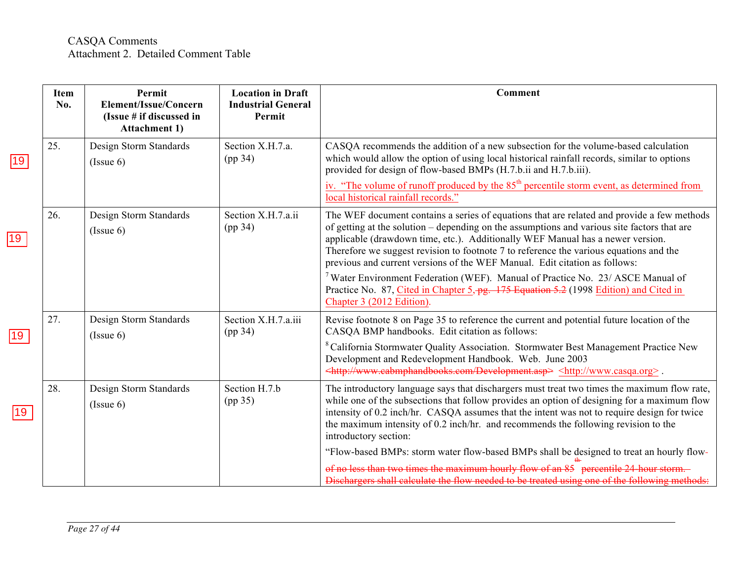|              | <b>Item</b><br>No. | Permit<br>Element/Issue/Concern<br>(Issue # if discussed in<br><b>Attachment 1)</b> | <b>Location in Draft</b><br><b>Industrial General</b><br>Permit | Comment                                                                                                                                                                                                                                                                                                                                                                                                                                             |
|--------------|--------------------|-------------------------------------------------------------------------------------|-----------------------------------------------------------------|-----------------------------------------------------------------------------------------------------------------------------------------------------------------------------------------------------------------------------------------------------------------------------------------------------------------------------------------------------------------------------------------------------------------------------------------------------|
| 19           | 25.                | Design Storm Standards<br>(Issue 6)                                                 | Section X.H.7.a.<br>(pp 34)                                     | CASQA recommends the addition of a new subsection for the volume-based calculation<br>which would allow the option of using local historical rainfall records, similar to options<br>provided for design of flow-based BMPs (H.7.b.ii and H.7.b.iii).                                                                                                                                                                                               |
|              |                    |                                                                                     |                                                                 | iv. "The volume of runoff produced by the $85th$ percentile storm event, as determined from<br>local historical rainfall records."                                                                                                                                                                                                                                                                                                                  |
| $ 19\rangle$ | 26.                | Design Storm Standards<br>(Issue 6)                                                 | Section X.H.7.a.ii<br>(pp 34)                                   | The WEF document contains a series of equations that are related and provide a few methods<br>of getting at the solution - depending on the assumptions and various site factors that are<br>applicable (drawdown time, etc.). Additionally WEF Manual has a newer version.<br>Therefore we suggest revision to footnote 7 to reference the various equations and the<br>previous and current versions of the WEF Manual. Edit citation as follows: |
|              |                    |                                                                                     |                                                                 | <sup>7</sup> Water Environment Federation (WEF). Manual of Practice No. 23/ ASCE Manual of<br>Practice No. 87, Cited in Chapter 5, pg. 175 Equation 5.2 (1998 Edition) and Cited in<br>Chapter 3 (2012 Edition).                                                                                                                                                                                                                                    |
| 19           | 27.                | Design Storm Standards<br>(Issue 6)                                                 | Section X.H.7.a.iii<br>(pp 34)                                  | Revise footnote 8 on Page 35 to reference the current and potential future location of the<br>CASQA BMP handbooks. Edit citation as follows:                                                                                                                                                                                                                                                                                                        |
|              |                    |                                                                                     |                                                                 | <sup>8</sup> California Stormwater Quality Association. Stormwater Best Management Practice New<br>Development and Redevelopment Handbook. Web. June 2003<br><http: development.asp="" www.cabmphandbooks.com=""> <http: www.casqa.org="">.</http:></http:>                                                                                                                                                                                         |
| 19           | 28.                | Design Storm Standards<br>(Issue 6)                                                 | Section H.7.b<br>(pp 35)                                        | The introductory language says that dischargers must treat two times the maximum flow rate,<br>while one of the subsections that follow provides an option of designing for a maximum flow<br>intensity of 0.2 inch/hr. CASQA assumes that the intent was not to require design for twice<br>the maximum intensity of 0.2 inch/hr. and recommends the following revision to the<br>introductory section:                                            |
|              |                    |                                                                                     |                                                                 | "Flow-based BMPs: storm water flow-based BMPs shall be designed to treat an hourly flow-                                                                                                                                                                                                                                                                                                                                                            |
|              |                    |                                                                                     |                                                                 | of no less than two times the maximum hourly flow of an 85 percentile 24-hour storm.<br>Dischargers shall calculate the flow needed to be treated using one of the following methods:                                                                                                                                                                                                                                                               |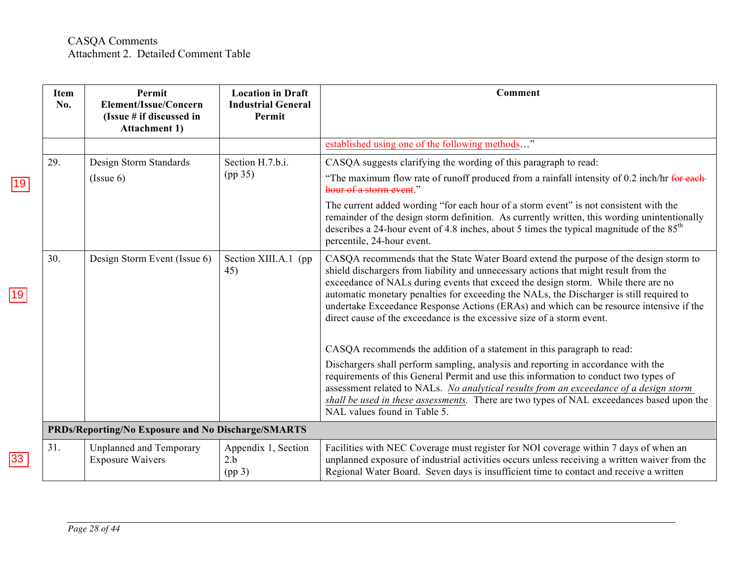|              | <b>Item</b><br>No. | Permit<br>Element/Issue/Concern<br>(Issue # if discussed in<br><b>Attachment 1)</b> | <b>Location in Draft</b><br><b>Industrial General</b><br>Permit | Comment                                                                                                                                                                                                                                                                                                                                                                                                                                                                                                                             |
|--------------|--------------------|-------------------------------------------------------------------------------------|-----------------------------------------------------------------|-------------------------------------------------------------------------------------------------------------------------------------------------------------------------------------------------------------------------------------------------------------------------------------------------------------------------------------------------------------------------------------------------------------------------------------------------------------------------------------------------------------------------------------|
|              |                    |                                                                                     |                                                                 | established using one of the following methods"                                                                                                                                                                                                                                                                                                                                                                                                                                                                                     |
|              | 29.                | Design Storm Standards                                                              | Section H.7.b.i.                                                | CASQA suggests clarifying the wording of this paragraph to read:                                                                                                                                                                                                                                                                                                                                                                                                                                                                    |
| 19           |                    | (Issue 6)                                                                           | (pp 35)                                                         | "The maximum flow rate of runoff produced from a rainfall intensity of 0.2 inch/hr for each-<br>hour of a storm event."                                                                                                                                                                                                                                                                                                                                                                                                             |
|              |                    |                                                                                     |                                                                 | The current added wording "for each hour of a storm event" is not consistent with the<br>remainder of the design storm definition. As currently written, this wording unintentionally<br>describes a 24-hour event of 4.8 inches, about 5 times the typical magnitude of the $85th$<br>percentile, 24-hour event.                                                                                                                                                                                                                   |
| 19           | 30.                | Design Storm Event (Issue 6)                                                        | Section XIII.A.1 (pp)<br>45)                                    | CASQA recommends that the State Water Board extend the purpose of the design storm to<br>shield dischargers from liability and unnecessary actions that might result from the<br>exceedance of NALs during events that exceed the design storm. While there are no<br>automatic monetary penalties for exceeding the NALs, the Discharger is still required to<br>undertake Exceedance Response Actions (ERAs) and which can be resource intensive if the<br>direct cause of the exceedance is the excessive size of a storm event. |
|              |                    |                                                                                     |                                                                 | CASQA recommends the addition of a statement in this paragraph to read:                                                                                                                                                                                                                                                                                                                                                                                                                                                             |
|              |                    |                                                                                     |                                                                 | Dischargers shall perform sampling, analysis and reporting in accordance with the<br>requirements of this General Permit and use this information to conduct two types of<br>assessment related to NALs. No analytical results from an exceedance of a design storm<br>shall be used in these assessments. There are two types of NAL exceedances based upon the<br>NAL values found in Table 5.                                                                                                                                    |
|              |                    | PRDs/Reporting/No Exposure and No Discharge/SMARTS                                  |                                                                 |                                                                                                                                                                                                                                                                                                                                                                                                                                                                                                                                     |
| $ 33\rangle$ | 31.                | Unplanned and Temporary<br><b>Exposure Waivers</b>                                  | Appendix 1, Section<br>2.b<br>(pp <sub>3</sub> )                | Facilities with NEC Coverage must register for NOI coverage within 7 days of when an<br>unplanned exposure of industrial activities occurs unless receiving a written waiver from the<br>Regional Water Board. Seven days is insufficient time to contact and receive a written                                                                                                                                                                                                                                                     |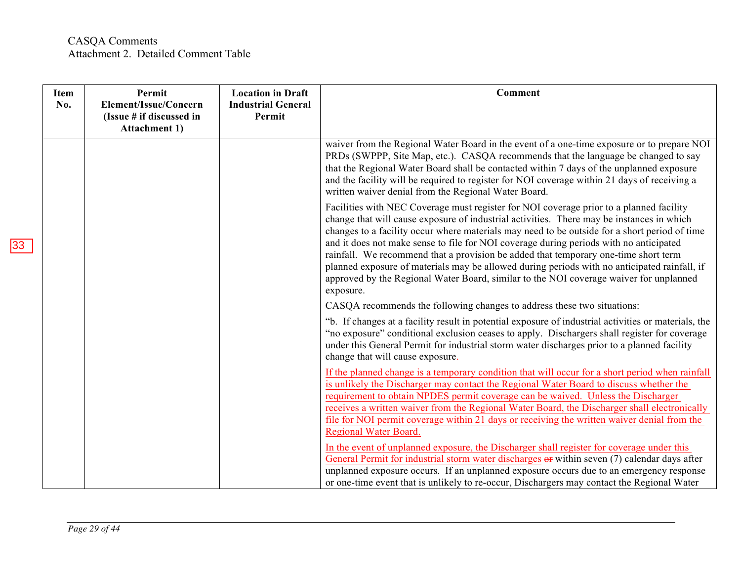### CASQA Comments Attachment 2. Detailed Comment Table

| <b>Item</b><br>No. | Permit<br>Element/Issue/Concern<br>(Issue # if discussed in<br><b>Attachment 1)</b> | <b>Location in Draft</b><br><b>Industrial General</b><br>Permit | <b>Comment</b>                                                                                                                                                                                                                                                                                                                                                                                                                                                                                                                                                                                                                                                                |
|--------------------|-------------------------------------------------------------------------------------|-----------------------------------------------------------------|-------------------------------------------------------------------------------------------------------------------------------------------------------------------------------------------------------------------------------------------------------------------------------------------------------------------------------------------------------------------------------------------------------------------------------------------------------------------------------------------------------------------------------------------------------------------------------------------------------------------------------------------------------------------------------|
|                    |                                                                                     |                                                                 | waiver from the Regional Water Board in the event of a one-time exposure or to prepare NOI<br>PRDs (SWPPP, Site Map, etc.). CASQA recommends that the language be changed to say<br>that the Regional Water Board shall be contacted within 7 days of the unplanned exposure<br>and the facility will be required to register for NOI coverage within 21 days of receiving a<br>written waiver denial from the Regional Water Board.                                                                                                                                                                                                                                          |
|                    |                                                                                     |                                                                 | Facilities with NEC Coverage must register for NOI coverage prior to a planned facility<br>change that will cause exposure of industrial activities. There may be instances in which<br>changes to a facility occur where materials may need to be outside for a short period of time<br>and it does not make sense to file for NOI coverage during periods with no anticipated<br>rainfall. We recommend that a provision be added that temporary one-time short term<br>planned exposure of materials may be allowed during periods with no anticipated rainfall, if<br>approved by the Regional Water Board, similar to the NOI coverage waiver for unplanned<br>exposure. |
|                    |                                                                                     |                                                                 | CASQA recommends the following changes to address these two situations:                                                                                                                                                                                                                                                                                                                                                                                                                                                                                                                                                                                                       |
|                    |                                                                                     |                                                                 | "b. If changes at a facility result in potential exposure of industrial activities or materials, the<br>"no exposure" conditional exclusion ceases to apply. Dischargers shall register for coverage<br>under this General Permit for industrial storm water discharges prior to a planned facility<br>change that will cause exposure.                                                                                                                                                                                                                                                                                                                                       |
|                    |                                                                                     |                                                                 | If the planned change is a temporary condition that will occur for a short period when rainfall<br>is unlikely the Discharger may contact the Regional Water Board to discuss whether the<br>requirement to obtain NPDES permit coverage can be waived. Unless the Discharger<br>receives a written waiver from the Regional Water Board, the Discharger shall electronically<br>file for NOI permit coverage within 21 days or receiving the written waiver denial from the<br><b>Regional Water Board.</b>                                                                                                                                                                  |
|                    |                                                                                     |                                                                 | In the event of unplanned exposure, the Discharger shall register for coverage under this<br>General Permit for industrial storm water discharges or within seven (7) calendar days after<br>unplanned exposure occurs. If an unplanned exposure occurs due to an emergency response<br>or one-time event that is unlikely to re-occur, Dischargers may contact the Regional Water                                                                                                                                                                                                                                                                                            |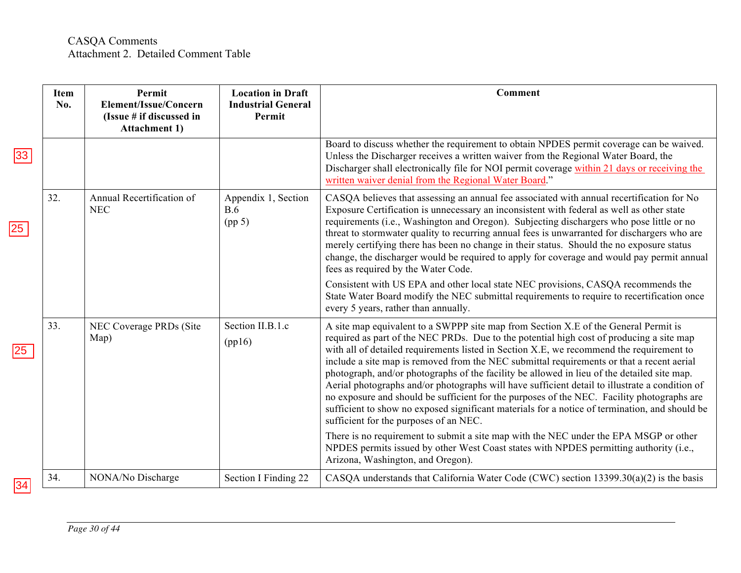|                 | Item<br>No. | Permit<br>Element/Issue/Concern<br>(Issue # if discussed in<br><b>Attachment 1)</b> | <b>Location in Draft</b><br><b>Industrial General</b><br>Permit | <b>Comment</b>                                                                                                                                                                                                                                                                                                                                                                                                                                                                                                                                                                                                                                                                                                                                                                                                      |
|-----------------|-------------|-------------------------------------------------------------------------------------|-----------------------------------------------------------------|---------------------------------------------------------------------------------------------------------------------------------------------------------------------------------------------------------------------------------------------------------------------------------------------------------------------------------------------------------------------------------------------------------------------------------------------------------------------------------------------------------------------------------------------------------------------------------------------------------------------------------------------------------------------------------------------------------------------------------------------------------------------------------------------------------------------|
| 33              |             |                                                                                     |                                                                 | Board to discuss whether the requirement to obtain NPDES permit coverage can be waived.<br>Unless the Discharger receives a written waiver from the Regional Water Board, the<br>Discharger shall electronically file for NOI permit coverage within 21 days or receiving the<br>written waiver denial from the Regional Water Board."                                                                                                                                                                                                                                                                                                                                                                                                                                                                              |
| 25              | 32.         | Annual Recertification of<br><b>NEC</b>                                             | Appendix 1, Section<br>B.6<br>(pp 5)                            | CASQA believes that assessing an annual fee associated with annual recertification for No<br>Exposure Certification is unnecessary an inconsistent with federal as well as other state<br>requirements (i.e., Washington and Oregon). Subjecting dischargers who pose little or no<br>threat to stormwater quality to recurring annual fees is unwarranted for dischargers who are<br>merely certifying there has been no change in their status. Should the no exposure status<br>change, the discharger would be required to apply for coverage and would pay permit annual<br>fees as required by the Water Code.                                                                                                                                                                                                |
|                 |             |                                                                                     |                                                                 | Consistent with US EPA and other local state NEC provisions, CASQA recommends the<br>State Water Board modify the NEC submittal requirements to require to recertification once<br>every 5 years, rather than annually.                                                                                                                                                                                                                                                                                                                                                                                                                                                                                                                                                                                             |
| 25 <sub>2</sub> | 33.         | NEC Coverage PRDs (Site<br>Map)                                                     | Section II.B.1.c<br>(pp16)                                      | A site map equivalent to a SWPPP site map from Section X.E of the General Permit is<br>required as part of the NEC PRDs. Due to the potential high cost of producing a site map<br>with all of detailed requirements listed in Section X.E, we recommend the requirement to<br>include a site map is removed from the NEC submittal requirements or that a recent aerial<br>photograph, and/or photographs of the facility be allowed in lieu of the detailed site map.<br>Aerial photographs and/or photographs will have sufficient detail to illustrate a condition of<br>no exposure and should be sufficient for the purposes of the NEC. Facility photographs are<br>sufficient to show no exposed significant materials for a notice of termination, and should be<br>sufficient for the purposes of an NEC. |
|                 |             |                                                                                     |                                                                 | There is no requirement to submit a site map with the NEC under the EPA MSGP or other<br>NPDES permits issued by other West Coast states with NPDES permitting authority (i.e.,<br>Arizona, Washington, and Oregon).                                                                                                                                                                                                                                                                                                                                                                                                                                                                                                                                                                                                |
| 34              | 34.         | NONA/No Discharge                                                                   | Section I Finding 22                                            | CASQA understands that California Water Code (CWC) section $13399.30(a)(2)$ is the basis                                                                                                                                                                                                                                                                                                                                                                                                                                                                                                                                                                                                                                                                                                                            |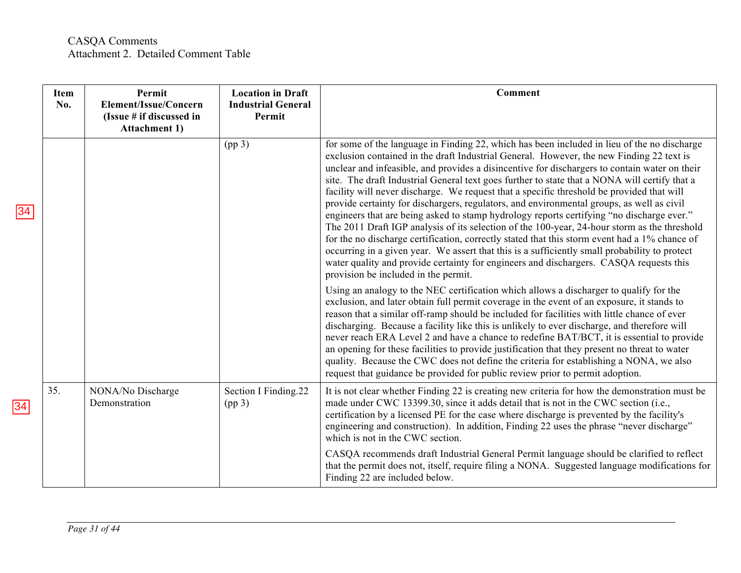|    | <b>Item</b><br>No. | Permit<br>Element/Issue/Concern<br>(Issue # if discussed in<br><b>Attachment 1)</b> | <b>Location in Draft</b><br><b>Industrial General</b><br>Permit | <b>Comment</b>                                                                                                                                                                                                                                                                                                                                                                                                                                                                                                                                                                                                                                                                                                                                                                                                                                                                                                                                                                                                                                                                                                       |
|----|--------------------|-------------------------------------------------------------------------------------|-----------------------------------------------------------------|----------------------------------------------------------------------------------------------------------------------------------------------------------------------------------------------------------------------------------------------------------------------------------------------------------------------------------------------------------------------------------------------------------------------------------------------------------------------------------------------------------------------------------------------------------------------------------------------------------------------------------------------------------------------------------------------------------------------------------------------------------------------------------------------------------------------------------------------------------------------------------------------------------------------------------------------------------------------------------------------------------------------------------------------------------------------------------------------------------------------|
| 34 |                    |                                                                                     | (pp <sub>3</sub> )                                              | for some of the language in Finding 22, which has been included in lieu of the no discharge<br>exclusion contained in the draft Industrial General. However, the new Finding 22 text is<br>unclear and infeasible, and provides a disincentive for dischargers to contain water on their<br>site. The draft Industrial General text goes further to state that a NONA will certify that a<br>facility will never discharge. We request that a specific threshold be provided that will<br>provide certainty for dischargers, regulators, and environmental groups, as well as civil<br>engineers that are being asked to stamp hydrology reports certifying "no discharge ever."<br>The 2011 Draft IGP analysis of its selection of the 100-year, 24-hour storm as the threshold<br>for the no discharge certification, correctly stated that this storm event had a 1% chance of<br>occurring in a given year. We assert that this is a sufficiently small probability to protect<br>water quality and provide certainty for engineers and dischargers. CASQA requests this<br>provision be included in the permit. |
|    |                    |                                                                                     |                                                                 | Using an analogy to the NEC certification which allows a discharger to qualify for the<br>exclusion, and later obtain full permit coverage in the event of an exposure, it stands to<br>reason that a similar off-ramp should be included for facilities with little chance of ever<br>discharging. Because a facility like this is unlikely to ever discharge, and therefore will<br>never reach ERA Level 2 and have a chance to redefine BAT/BCT, it is essential to provide<br>an opening for these facilities to provide justification that they present no threat to water<br>quality. Because the CWC does not define the criteria for establishing a NONA, we also<br>request that guidance be provided for public review prior to permit adoption.                                                                                                                                                                                                                                                                                                                                                          |
| 34 | 35.                | NONA/No Discharge<br>Demonstration                                                  | Section I Finding.22<br>(pp <sub>3</sub> )                      | It is not clear whether Finding 22 is creating new criteria for how the demonstration must be<br>made under CWC 13399.30, since it adds detail that is not in the CWC section (i.e.,<br>certification by a licensed PE for the case where discharge is prevented by the facility's<br>engineering and construction). In addition, Finding 22 uses the phrase "never discharge"<br>which is not in the CWC section.                                                                                                                                                                                                                                                                                                                                                                                                                                                                                                                                                                                                                                                                                                   |
|    |                    |                                                                                     |                                                                 | CASQA recommends draft Industrial General Permit language should be clarified to reflect<br>that the permit does not, itself, require filing a NONA. Suggested language modifications for<br>Finding 22 are included below.                                                                                                                                                                                                                                                                                                                                                                                                                                                                                                                                                                                                                                                                                                                                                                                                                                                                                          |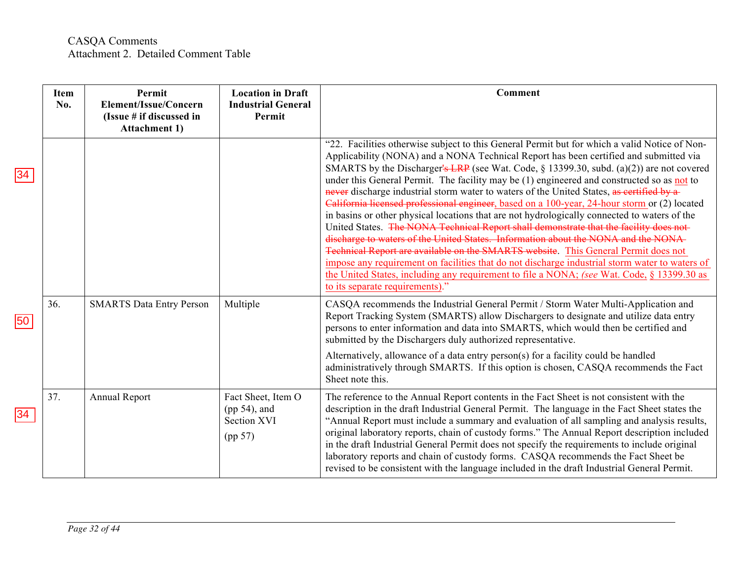|    | <b>Item</b><br>No. | Permit<br>Element/Issue/Concern<br>(Issue # if discussed in<br><b>Attachment 1)</b> | <b>Location in Draft</b><br><b>Industrial General</b><br>Permit | Comment                                                                                                                                                                                                                                                                                                                                                                                                                                                                                                                                                                                                                                                                                                                                                                                                                                                                                                                                                                                                                                                                                                                                                                                  |
|----|--------------------|-------------------------------------------------------------------------------------|-----------------------------------------------------------------|------------------------------------------------------------------------------------------------------------------------------------------------------------------------------------------------------------------------------------------------------------------------------------------------------------------------------------------------------------------------------------------------------------------------------------------------------------------------------------------------------------------------------------------------------------------------------------------------------------------------------------------------------------------------------------------------------------------------------------------------------------------------------------------------------------------------------------------------------------------------------------------------------------------------------------------------------------------------------------------------------------------------------------------------------------------------------------------------------------------------------------------------------------------------------------------|
| 34 |                    |                                                                                     |                                                                 | "22. Facilities otherwise subject to this General Permit but for which a valid Notice of Non-<br>Applicability (NONA) and a NONA Technical Report has been certified and submitted via<br>SMARTS by the Discharger's LRP (see Wat. Code, $\S$ 13399.30, subd. (a)(2)) are not covered<br>under this General Permit. The facility may be (1) engineered and constructed so as not to<br>never discharge industrial storm water to waters of the United States, as certified by a<br>California licensed professional engineer, based on a 100-year, 24-hour storm or (2) located<br>in basins or other physical locations that are not hydrologically connected to waters of the<br>United States. The NONA Technical Report shall demonstrate that the facility does not-<br>discharge to waters of the United States. Information about the NONA and the NONA-<br>Technical Report are available on the SMARTS website. This General Permit does not<br>impose any requirement on facilities that do not discharge industrial storm water to waters of<br>the United States, including any requirement to file a NONA; (see Wat. Code, § 13399.30 as<br>to its separate requirements)." |
| 50 | 36.                | <b>SMARTS Data Entry Person</b>                                                     | Multiple                                                        | CASQA recommends the Industrial General Permit / Storm Water Multi-Application and<br>Report Tracking System (SMARTS) allow Dischargers to designate and utilize data entry<br>persons to enter information and data into SMARTS, which would then be certified and<br>submitted by the Dischargers duly authorized representative.<br>Alternatively, allowance of a data entry person(s) for a facility could be handled<br>administratively through SMARTS. If this option is chosen, CASQA recommends the Fact<br>Sheet note this.                                                                                                                                                                                                                                                                                                                                                                                                                                                                                                                                                                                                                                                    |
| 34 | 37.                | Annual Report                                                                       | Fact Sheet, Item O<br>$(pp 54)$ , and<br>Section XVI<br>(pp 57) | The reference to the Annual Report contents in the Fact Sheet is not consistent with the<br>description in the draft Industrial General Permit. The language in the Fact Sheet states the<br>"Annual Report must include a summary and evaluation of all sampling and analysis results,<br>original laboratory reports, chain of custody forms." The Annual Report description included<br>in the draft Industrial General Permit does not specify the requirements to include original<br>laboratory reports and chain of custody forms. CASQA recommends the Fact Sheet be<br>revised to be consistent with the language included in the draft Industrial General Permit.                                                                                                                                                                                                                                                                                                                                                                                                                                                                                                              |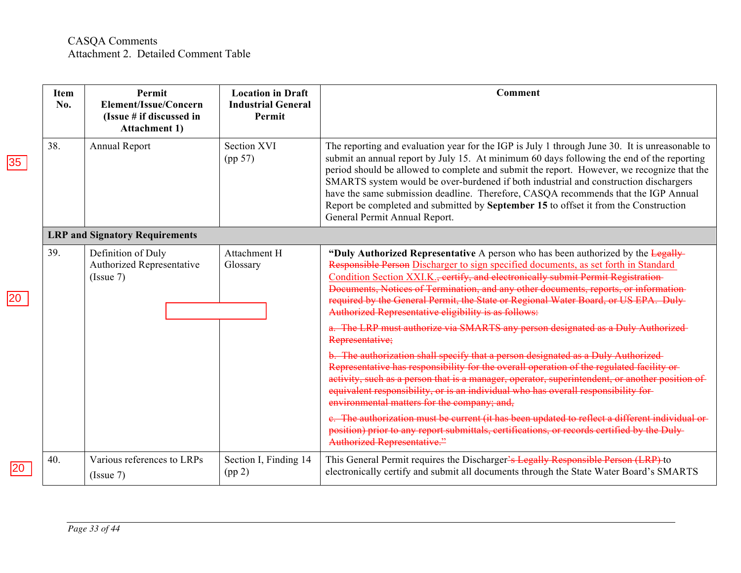|    | <b>Item</b><br>No. | Permit<br>Element/Issue/Concern<br>(Issue # if discussed in<br><b>Attachment 1)</b> | <b>Location in Draft</b><br><b>Industrial General</b><br>Permit | Comment                                                                                                                                                                                                                                                                                                                                                                                                                                                                                                                                                                                          |
|----|--------------------|-------------------------------------------------------------------------------------|-----------------------------------------------------------------|--------------------------------------------------------------------------------------------------------------------------------------------------------------------------------------------------------------------------------------------------------------------------------------------------------------------------------------------------------------------------------------------------------------------------------------------------------------------------------------------------------------------------------------------------------------------------------------------------|
| 35 | 38.                | Annual Report                                                                       | <b>Section XVI</b><br>(pp 57)                                   | The reporting and evaluation year for the IGP is July 1 through June 30. It is unreasonable to<br>submit an annual report by July 15. At minimum 60 days following the end of the reporting<br>period should be allowed to complete and submit the report. However, we recognize that the<br>SMARTS system would be over-burdened if both industrial and construction dischargers<br>have the same submission deadline. Therefore, CASQA recommends that the IGP Annual<br>Report be completed and submitted by September 15 to offset it from the Construction<br>General Permit Annual Report. |
|    |                    | <b>LRP and Signatory Requirements</b>                                               |                                                                 |                                                                                                                                                                                                                                                                                                                                                                                                                                                                                                                                                                                                  |
|    | 39.                | Definition of Duly<br>Authorized Representative<br>(Issue 7)                        | Attachment H<br>Glossary                                        | "Duly Authorized Representative A person who has been authorized by the Legally-<br>Responsible Person Discharger to sign specified documents, as set forth in Standard<br>Condition Section XXI.K., eertify, and electronically submit Permit Registration-<br>Documents, Notices of Termination, and any other documents, reports, or information<br>required by the General Permit, the State or Regional Water Board, or US EPA. Duly-<br>Authorized Representative eligibility is as follows:                                                                                               |
|    |                    |                                                                                     |                                                                 | a. The LRP must authorize via SMARTS any person designated as a Duly Authorized-<br>Representative;                                                                                                                                                                                                                                                                                                                                                                                                                                                                                              |
|    |                    |                                                                                     |                                                                 | b. The authorization shall specify that a person designated as a Duly Authorized-<br>Representative has responsibility for the overall operation of the regulated facility or-<br>activity, such as a person that is a manager, operator, superintendent, or another position of<br>equivalent responsibility, or is an individual who has overall responsibility for-<br>environmental matters for the company; and,                                                                                                                                                                            |
|    |                    |                                                                                     |                                                                 | e. The authorization must be current (it has been updated to reflect a different individual or-<br>position) prior to any report submittals, certifications, or records certified by the Duly-<br><b>Authorized Representative."</b>                                                                                                                                                                                                                                                                                                                                                             |
|    | 40.                | Various references to LRPs<br>(Issue 7)                                             | Section I, Finding 14<br>(pp 2)                                 | This General Permit requires the Discharger's Legally Responsible Person (LRP) to<br>electronically certify and submit all documents through the State Water Board's SMARTS                                                                                                                                                                                                                                                                                                                                                                                                                      |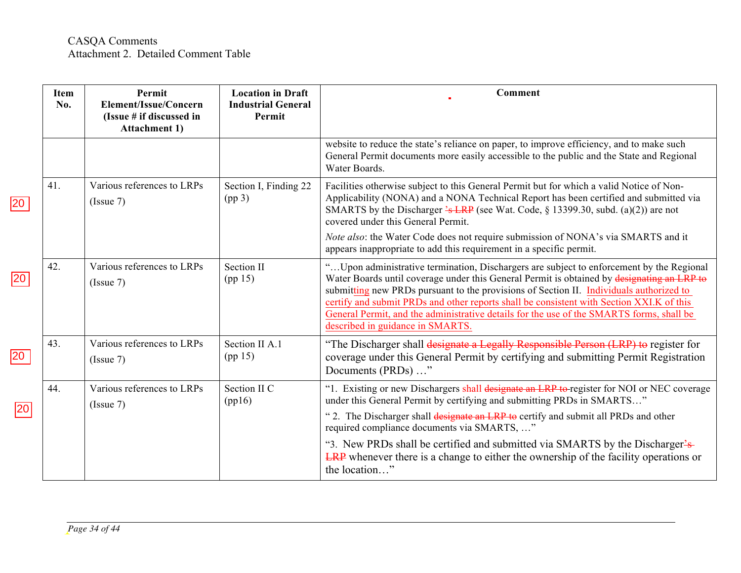|                 | <b>Item</b><br>No. | Permit<br>Element/Issue/Concern<br>(Issue # if discussed in<br><b>Attachment 1)</b> | <b>Location in Draft</b><br><b>Industrial General</b><br>Permit | Comment                                                                                                                                                                                                                                                                                                                                                                                                                                                                                                        |
|-----------------|--------------------|-------------------------------------------------------------------------------------|-----------------------------------------------------------------|----------------------------------------------------------------------------------------------------------------------------------------------------------------------------------------------------------------------------------------------------------------------------------------------------------------------------------------------------------------------------------------------------------------------------------------------------------------------------------------------------------------|
|                 |                    |                                                                                     |                                                                 | website to reduce the state's reliance on paper, to improve efficiency, and to make such<br>General Permit documents more easily accessible to the public and the State and Regional<br>Water Boards.                                                                                                                                                                                                                                                                                                          |
| 20              | 41.                | Various references to LRPs<br>(Issue 7)                                             | Section I, Finding 22<br>(pp <sub>3</sub> )                     | Facilities otherwise subject to this General Permit but for which a valid Notice of Non-<br>Applicability (NONA) and a NONA Technical Report has been certified and submitted via<br>SMARTS by the Discharger $\frac{2}{5}$ LRP (see Wat. Code, § 13399.30, subd. (a)(2)) are not<br>covered under this General Permit.                                                                                                                                                                                        |
|                 |                    |                                                                                     |                                                                 | Note also: the Water Code does not require submission of NONA's via SMARTS and it<br>appears inappropriate to add this requirement in a specific permit.                                                                                                                                                                                                                                                                                                                                                       |
| $ 20\rangle$    | 42.                | Various references to LRPs<br>(Issue 7)                                             | Section II<br>(pp 15)                                           | " Upon administrative termination, Dischargers are subject to enforcement by the Regional<br>Water Boards until coverage under this General Permit is obtained by designating an LRP to<br>submitting new PRDs pursuant to the provisions of Section II. Individuals authorized to<br>certify and submit PRDs and other reports shall be consistent with Section XXI.K of this<br>General Permit, and the administrative details for the use of the SMARTS forms, shall be<br>described in guidance in SMARTS. |
| $\overline{20}$ | 43.                | Various references to LRPs<br>(Issue 7)                                             | Section II A.1<br>(pp 15)                                       | "The Discharger shall designate a Legally Responsible Person (LRP) to register for<br>coverage under this General Permit by certifying and submitting Permit Registration<br>Documents (PRDs) "                                                                                                                                                                                                                                                                                                                |
| 20              | 44.                | Various references to LRPs<br>(Issue 7)                                             | Section II C<br>(pp16)                                          | "1. Existing or new Dischargers shall designate an LRP to register for NOI or NEC coverage<br>under this General Permit by certifying and submitting PRDs in SMARTS"<br>"2. The Discharger shall designate an LRP to certify and submit all PRDs and other<br>required compliance documents via SMARTS, "                                                                                                                                                                                                      |
|                 |                    |                                                                                     |                                                                 | "3. New PRDs shall be certified and submitted via SMARTS by the Discharger's-<br><b>LRP</b> whenever there is a change to either the ownership of the facility operations or<br>the location"                                                                                                                                                                                                                                                                                                                  |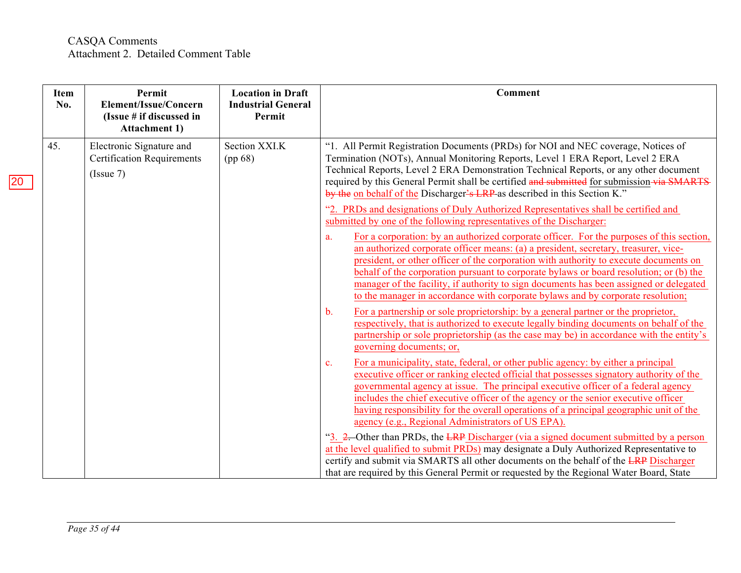| Item<br>No. | Permit<br>Element/Issue/Concern<br>(Issue # if discussed in<br><b>Attachment 1)</b> | <b>Location in Draft</b><br><b>Industrial General</b><br>Permit | Comment                                                                                                                                                                                                                                                                                                                                                                                                                                                                                                                                               |
|-------------|-------------------------------------------------------------------------------------|-----------------------------------------------------------------|-------------------------------------------------------------------------------------------------------------------------------------------------------------------------------------------------------------------------------------------------------------------------------------------------------------------------------------------------------------------------------------------------------------------------------------------------------------------------------------------------------------------------------------------------------|
| 45.         | Electronic Signature and<br><b>Certification Requirements</b><br>(Is sue 7)         | Section XXI.K<br>(pp 68)                                        | "1. All Permit Registration Documents (PRDs) for NOI and NEC coverage, Notices of<br>Termination (NOTs), Annual Monitoring Reports, Level 1 ERA Report, Level 2 ERA<br>Technical Reports, Level 2 ERA Demonstration Technical Reports, or any other document<br>required by this General Permit shall be certified and submitted for submission via SMARTS<br>by the on behalf of the Discharger's LRP as described in this Section K."                                                                                                               |
|             |                                                                                     |                                                                 | "2. PRDs and designations of Duly Authorized Representatives shall be certified and<br>submitted by one of the following representatives of the Discharger:                                                                                                                                                                                                                                                                                                                                                                                           |
|             |                                                                                     |                                                                 | For a corporation: by an authorized corporate officer. For the purposes of this section,<br>a.<br>an authorized corporate officer means: (a) a president, secretary, treasurer, vice-<br>president, or other officer of the corporation with authority to execute documents on<br>behalf of the corporation pursuant to corporate bylaws or board resolution; or (b) the<br>manager of the facility, if authority to sign documents has been assigned or delegated<br>to the manager in accordance with corporate bylaws and by corporate resolution; |
|             |                                                                                     |                                                                 | For a partnership or sole proprietorship: by a general partner or the proprietor,<br>$\mathbf{b}$ .<br>respectively, that is authorized to execute legally binding documents on behalf of the<br>partnership or sole proprietorship (as the case may be) in accordance with the entity's<br>governing documents; or,                                                                                                                                                                                                                                  |
|             |                                                                                     |                                                                 | For a municipality, state, federal, or other public agency: by either a principal<br>$\mathbf{c}$ .<br>executive officer or ranking elected official that possesses signatory authority of the<br>governmental agency at issue. The principal executive officer of a federal agency<br>includes the chief executive officer of the agency or the senior executive officer<br>having responsibility for the overall operations of a principal geographic unit of the<br>agency (e.g., Regional Administrators of US EPA).                              |
|             |                                                                                     |                                                                 | "3. 2. Other than PRDs, the LRP Discharger (via a signed document submitted by a person<br>at the level qualified to submit PRDs) may designate a Duly Authorized Representative to<br>certify and submit via SMARTS all other documents on the behalf of the LRP Discharger<br>that are required by this General Permit or requested by the Regional Water Board, State                                                                                                                                                                              |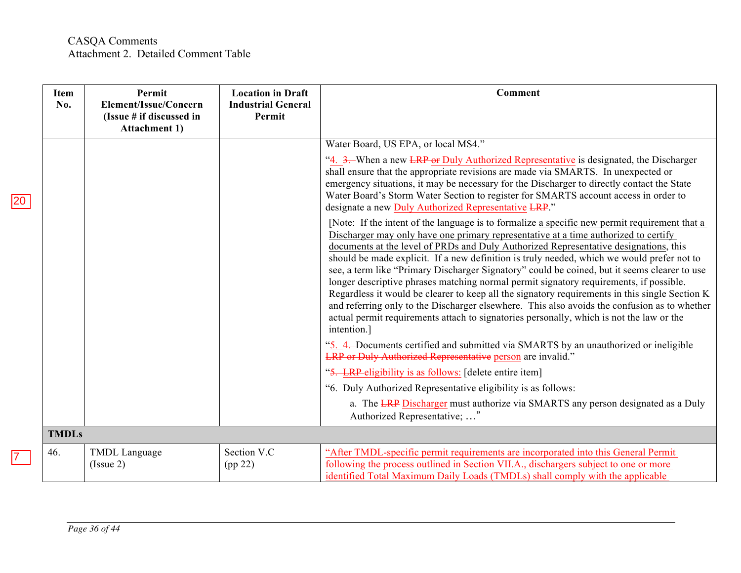|                 | Item<br>No.  | Permit<br>Element/Issue/Concern<br>(Issue # if discussed in<br><b>Attachment 1)</b> | <b>Location in Draft</b><br><b>Industrial General</b><br>Permit | <b>Comment</b>                                                                                                                                                                                                                                                                                                                                                                                                                                                                                                                                                                                                                                                                                                                                                                                                                                                                                                                                                                                                                                                                                                                                                                                                                                                                                                                                                                                                                                                                                                                                                                                                                                                                                                                                                  |
|-----------------|--------------|-------------------------------------------------------------------------------------|-----------------------------------------------------------------|-----------------------------------------------------------------------------------------------------------------------------------------------------------------------------------------------------------------------------------------------------------------------------------------------------------------------------------------------------------------------------------------------------------------------------------------------------------------------------------------------------------------------------------------------------------------------------------------------------------------------------------------------------------------------------------------------------------------------------------------------------------------------------------------------------------------------------------------------------------------------------------------------------------------------------------------------------------------------------------------------------------------------------------------------------------------------------------------------------------------------------------------------------------------------------------------------------------------------------------------------------------------------------------------------------------------------------------------------------------------------------------------------------------------------------------------------------------------------------------------------------------------------------------------------------------------------------------------------------------------------------------------------------------------------------------------------------------------------------------------------------------------|
| $\overline{20}$ |              |                                                                                     |                                                                 | Water Board, US EPA, or local MS4."<br>"4. 3. When a new LRP or Duly Authorized Representative is designated, the Discharger<br>shall ensure that the appropriate revisions are made via SMARTS. In unexpected or<br>emergency situations, it may be necessary for the Discharger to directly contact the State<br>Water Board's Storm Water Section to register for SMARTS account access in order to<br>designate a new Duly Authorized Representative LRP."<br>[Note: If the intent of the language is to formalize a specific new permit requirement that a<br>Discharger may only have one primary representative at a time authorized to certify<br>documents at the level of PRDs and Duly Authorized Representative designations, this<br>should be made explicit. If a new definition is truly needed, which we would prefer not to<br>see, a term like "Primary Discharger Signatory" could be coined, but it seems clearer to use<br>longer descriptive phrases matching normal permit signatory requirements, if possible.<br>Regardless it would be clearer to keep all the signatory requirements in this single Section K<br>and referring only to the Discharger elsewhere. This also avoids the confusion as to whether<br>actual permit requirements attach to signatories personally, which is not the law or the<br>intention.]<br>"5. 4. Documents certified and submitted via SMARTS by an unauthorized or ineligible<br><b>LRP</b> or Duly Authorized Representative person are invalid."<br>"5. LRP-eligibility is as follows: [delete entire item]<br>"6. Duly Authorized Representative eligibility is as follows:<br>a. The LRP Discharger must authorize via SMARTS any person designated as a Duly<br>Authorized Representative; " |
|                 | <b>TMDLs</b> |                                                                                     |                                                                 |                                                                                                                                                                                                                                                                                                                                                                                                                                                                                                                                                                                                                                                                                                                                                                                                                                                                                                                                                                                                                                                                                                                                                                                                                                                                                                                                                                                                                                                                                                                                                                                                                                                                                                                                                                 |
| $\overline{7}$  | 46.          | TMDL Language<br>(Issue 2)                                                          | Section V.C<br>(pp 22)                                          | "After TMDL-specific permit requirements are incorporated into this General Permit<br>following the process outlined in Section VII.A., dischargers subject to one or more<br>identified Total Maximum Daily Loads (TMDLs) shall comply with the applicable                                                                                                                                                                                                                                                                                                                                                                                                                                                                                                                                                                                                                                                                                                                                                                                                                                                                                                                                                                                                                                                                                                                                                                                                                                                                                                                                                                                                                                                                                                     |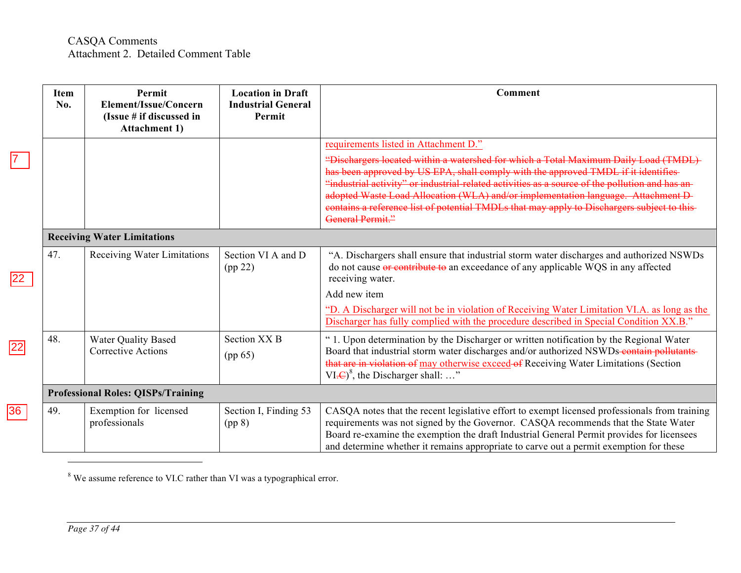|    | Item<br>No. | Permit<br>Element/Issue/Concern<br>(Issue # if discussed in<br><b>Attachment 1)</b> | <b>Location in Draft</b><br><b>Industrial General</b><br><b>Permit</b> | Comment                                                                                                                                                                                                                                                                                                                                                                                                                                                                                     |
|----|-------------|-------------------------------------------------------------------------------------|------------------------------------------------------------------------|---------------------------------------------------------------------------------------------------------------------------------------------------------------------------------------------------------------------------------------------------------------------------------------------------------------------------------------------------------------------------------------------------------------------------------------------------------------------------------------------|
|    |             |                                                                                     |                                                                        | requirements listed in Attachment D."                                                                                                                                                                                                                                                                                                                                                                                                                                                       |
|    |             |                                                                                     |                                                                        | "Dischargers located within a watershed for which a Total Maximum Daily Load (TMDL)<br>has been approved by US EPA, shall comply with the approved TMDL if it identifies-<br>"industrial activity" or industrial-related activities as a source of the pollution and has an-<br>adopted Waste Load Allocation (WLA) and/or implementation language. Attachment D-<br>contains a reference list of potential TMDLs that may apply to Dischargers subject to this-<br><b>General Permit."</b> |
|    |             | <b>Receiving Water Limitations</b>                                                  |                                                                        |                                                                                                                                                                                                                                                                                                                                                                                                                                                                                             |
|    | 47.         | Receiving Water Limitations                                                         | Section VI A and D<br>(pp 22)                                          | "A. Dischargers shall ensure that industrial storm water discharges and authorized NSWDs<br>do not cause or contribute to an exceedance of any applicable WQS in any affected<br>receiving water.                                                                                                                                                                                                                                                                                           |
|    |             |                                                                                     |                                                                        | Add new item                                                                                                                                                                                                                                                                                                                                                                                                                                                                                |
|    |             |                                                                                     |                                                                        | "D. A Discharger will not be in violation of Receiving Water Limitation VI.A. as long as the<br>Discharger has fully complied with the procedure described in Special Condition XX.B."                                                                                                                                                                                                                                                                                                      |
|    | 48.         | <b>Water Quality Based</b><br><b>Corrective Actions</b>                             | Section XX <sub>B</sub><br>(pp 65)                                     | " 1. Upon determination by the Discharger or written notification by the Regional Water<br>Board that industrial storm water discharges and/or authorized NSWDs-contain pollutants-<br>that are in violation of may otherwise exceed of Receiving Water Limitations (Section<br>$VI.E)8$ , the Discharger shall: "                                                                                                                                                                          |
|    |             | <b>Professional Roles: QISPs/Training</b>                                           |                                                                        |                                                                                                                                                                                                                                                                                                                                                                                                                                                                                             |
| 36 | 49.         | Exemption for licensed<br>professionals                                             | Section I, Finding 53<br>(pp 8)                                        | CASQA notes that the recent legislative effort to exempt licensed professionals from training<br>requirements was not signed by the Governor. CASQA recommends that the State Water<br>Board re-examine the exemption the draft Industrial General Permit provides for licensees<br>and determine whether it remains appropriate to carve out a permit exemption for these                                                                                                                  |

<sup>8</sup> We assume reference to VI.C rather than VI was a typographical error.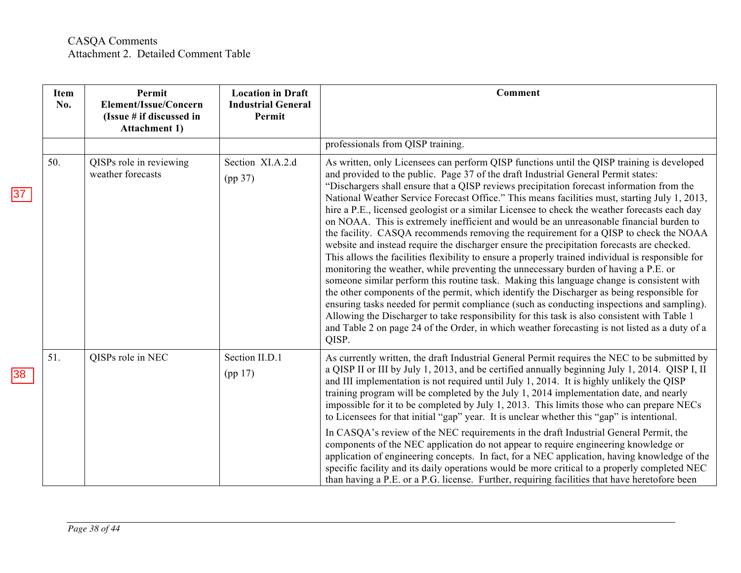|    | <b>Item</b><br>No. | Permit<br>Element/Issue/Concern<br>(Issue # if discussed in<br><b>Attachment 1)</b> | <b>Location in Draft</b><br><b>Industrial General</b><br>Permit | <b>Comment</b>                                                                                                                                                                                                                                                                                                                                                                                                                                                                                                                                                                                                                                                                                                                                                                                                                                                                                                                                                                                                                                                                                                                                                                                                                                                                                                                                                                                                                                                   |
|----|--------------------|-------------------------------------------------------------------------------------|-----------------------------------------------------------------|------------------------------------------------------------------------------------------------------------------------------------------------------------------------------------------------------------------------------------------------------------------------------------------------------------------------------------------------------------------------------------------------------------------------------------------------------------------------------------------------------------------------------------------------------------------------------------------------------------------------------------------------------------------------------------------------------------------------------------------------------------------------------------------------------------------------------------------------------------------------------------------------------------------------------------------------------------------------------------------------------------------------------------------------------------------------------------------------------------------------------------------------------------------------------------------------------------------------------------------------------------------------------------------------------------------------------------------------------------------------------------------------------------------------------------------------------------------|
|    |                    |                                                                                     |                                                                 | professionals from QISP training.                                                                                                                                                                                                                                                                                                                                                                                                                                                                                                                                                                                                                                                                                                                                                                                                                                                                                                                                                                                                                                                                                                                                                                                                                                                                                                                                                                                                                                |
| 37 | 50.                | QISPs role in reviewing<br>weather forecasts                                        | Section XI.A.2.d<br>(pp 37)                                     | As written, only Licensees can perform QISP functions until the QISP training is developed<br>and provided to the public. Page 37 of the draft Industrial General Permit states:<br>"Dischargers shall ensure that a QISP reviews precipitation forecast information from the<br>National Weather Service Forecast Office." This means facilities must, starting July 1, 2013,<br>hire a P.E., licensed geologist or a similar Licensee to check the weather forecasts each day<br>on NOAA. This is extremely inefficient and would be an unreasonable financial burden to<br>the facility. CASQA recommends removing the requirement for a QISP to check the NOAA<br>website and instead require the discharger ensure the precipitation forecasts are checked.<br>This allows the facilities flexibility to ensure a properly trained individual is responsible for<br>monitoring the weather, while preventing the unnecessary burden of having a P.E. or<br>someone similar perform this routine task. Making this language change is consistent with<br>the other components of the permit, which identify the Discharger as being responsible for<br>ensuring tasks needed for permit compliance (such as conducting inspections and sampling).<br>Allowing the Discharger to take responsibility for this task is also consistent with Table 1<br>and Table 2 on page 24 of the Order, in which weather forecasting is not listed as a duty of a<br>QISP. |
| 38 | 51.                | QISPs role in NEC                                                                   | Section II.D.1<br>(pp 17)                                       | As currently written, the draft Industrial General Permit requires the NEC to be submitted by<br>a QISP II or III by July 1, 2013, and be certified annually beginning July 1, 2014. QISP I, II<br>and III implementation is not required until July 1, 2014. It is highly unlikely the QISP<br>training program will be completed by the July 1, 2014 implementation date, and nearly<br>impossible for it to be completed by July 1, 2013. This limits those who can prepare NECs<br>to Licensees for that initial "gap" year. It is unclear whether this "gap" is intentional.                                                                                                                                                                                                                                                                                                                                                                                                                                                                                                                                                                                                                                                                                                                                                                                                                                                                                |
|    |                    |                                                                                     |                                                                 | In CASQA's review of the NEC requirements in the draft Industrial General Permit, the<br>components of the NEC application do not appear to require engineering knowledge or<br>application of engineering concepts. In fact, for a NEC application, having knowledge of the<br>specific facility and its daily operations would be more critical to a properly completed NEC<br>than having a P.E. or a P.G. license. Further, requiring facilities that have heretofore been                                                                                                                                                                                                                                                                                                                                                                                                                                                                                                                                                                                                                                                                                                                                                                                                                                                                                                                                                                                   |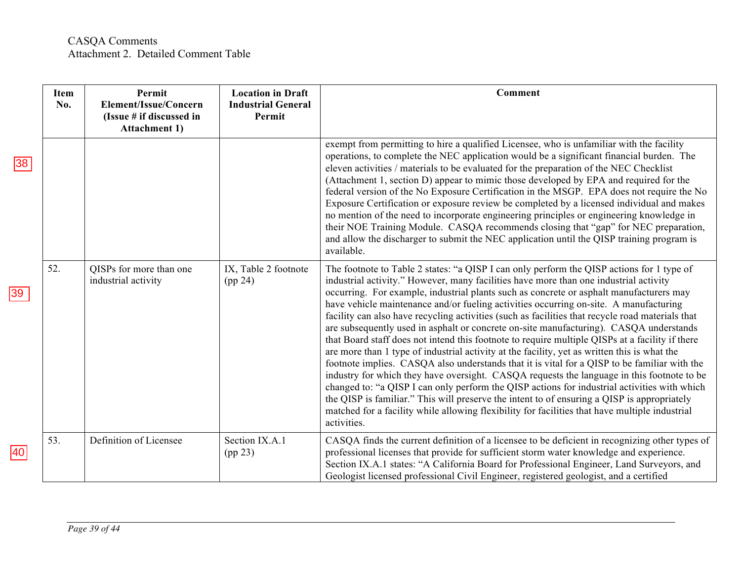|              | <b>Item</b><br>No. | Permit<br>Element/Issue/Concern<br>(Issue # if discussed in<br><b>Attachment 1)</b> | <b>Location in Draft</b><br><b>Industrial General</b><br>Permit | <b>Comment</b>                                                                                                                                                                                                                                                                                                                                                                                                                                                                                                                                                                                                                                                                                                                                                                                                                                                                                                                                                                                                                                                                                                                                                                                                                                                                        |
|--------------|--------------------|-------------------------------------------------------------------------------------|-----------------------------------------------------------------|---------------------------------------------------------------------------------------------------------------------------------------------------------------------------------------------------------------------------------------------------------------------------------------------------------------------------------------------------------------------------------------------------------------------------------------------------------------------------------------------------------------------------------------------------------------------------------------------------------------------------------------------------------------------------------------------------------------------------------------------------------------------------------------------------------------------------------------------------------------------------------------------------------------------------------------------------------------------------------------------------------------------------------------------------------------------------------------------------------------------------------------------------------------------------------------------------------------------------------------------------------------------------------------|
| 38           |                    |                                                                                     |                                                                 | exempt from permitting to hire a qualified Licensee, who is unfamiliar with the facility<br>operations, to complete the NEC application would be a significant financial burden. The<br>eleven activities / materials to be evaluated for the preparation of the NEC Checklist<br>(Attachment 1, section D) appear to mimic those developed by EPA and required for the<br>federal version of the No Exposure Certification in the MSGP. EPA does not require the No<br>Exposure Certification or exposure review be completed by a licensed individual and makes<br>no mention of the need to incorporate engineering principles or engineering knowledge in<br>their NOE Training Module. CASQA recommends closing that "gap" for NEC preparation,<br>and allow the discharger to submit the NEC application until the QISP training program is<br>available.                                                                                                                                                                                                                                                                                                                                                                                                                       |
| $ 39\rangle$ | 52.                | QISPs for more than one<br>industrial activity                                      | IX, Table 2 footnote<br>(pp 24)                                 | The footnote to Table 2 states: "a QISP I can only perform the QISP actions for 1 type of<br>industrial activity." However, many facilities have more than one industrial activity<br>occurring. For example, industrial plants such as concrete or asphalt manufacturers may<br>have vehicle maintenance and/or fueling activities occurring on-site. A manufacturing<br>facility can also have recycling activities (such as facilities that recycle road materials that<br>are subsequently used in asphalt or concrete on-site manufacturing). CASQA understands<br>that Board staff does not intend this footnote to require multiple QISPs at a facility if there<br>are more than 1 type of industrial activity at the facility, yet as written this is what the<br>footnote implies. CASQA also understands that it is vital for a QISP to be familiar with the<br>industry for which they have oversight. CASQA requests the language in this footnote to be<br>changed to: "a QISP I can only perform the QISP actions for industrial activities with which<br>the QISP is familiar." This will preserve the intent to of ensuring a QISP is appropriately<br>matched for a facility while allowing flexibility for facilities that have multiple industrial<br>activities. |
| 40           | 53.                | Definition of Licensee                                                              | Section IX.A.1<br>(pp 23)                                       | CASQA finds the current definition of a licensee to be deficient in recognizing other types of<br>professional licenses that provide for sufficient storm water knowledge and experience.<br>Section IX.A.1 states: "A California Board for Professional Engineer, Land Surveyors, and<br>Geologist licensed professional Civil Engineer, registered geologist, and a certified                                                                                                                                                                                                                                                                                                                                                                                                                                                                                                                                                                                                                                                                                                                                                                                                                                                                                                       |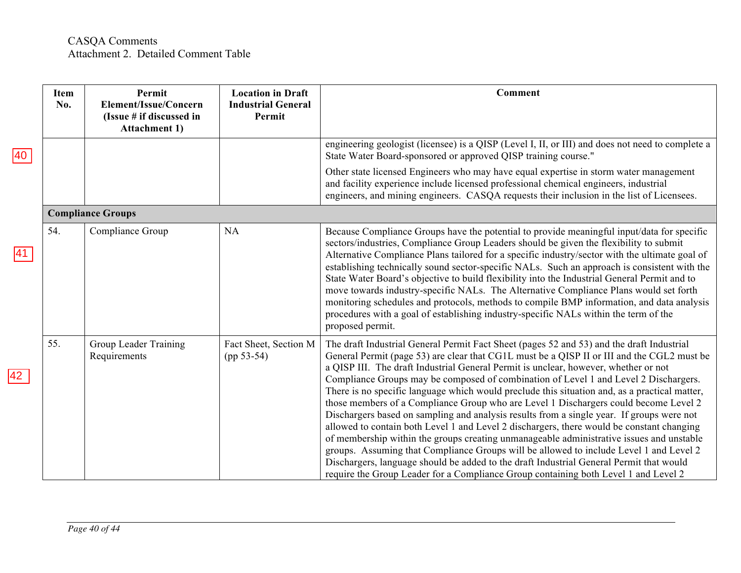|              | <b>Item</b><br>No.       | Permit<br>Element/Issue/Concern<br>(Issue # if discussed in<br><b>Attachment 1)</b> | <b>Location in Draft</b><br><b>Industrial General</b><br>Permit | <b>Comment</b>                                                                                                                                                                                                                                                                                                                                                                                                                                                                                                                                                                                                                                                                                                                                                                                                                                                                                                                                                                                                                                                                                                                    |  |  |
|--------------|--------------------------|-------------------------------------------------------------------------------------|-----------------------------------------------------------------|-----------------------------------------------------------------------------------------------------------------------------------------------------------------------------------------------------------------------------------------------------------------------------------------------------------------------------------------------------------------------------------------------------------------------------------------------------------------------------------------------------------------------------------------------------------------------------------------------------------------------------------------------------------------------------------------------------------------------------------------------------------------------------------------------------------------------------------------------------------------------------------------------------------------------------------------------------------------------------------------------------------------------------------------------------------------------------------------------------------------------------------|--|--|
| 40           |                          |                                                                                     |                                                                 | engineering geologist (licensee) is a QISP (Level I, II, or III) and does not need to complete a<br>State Water Board-sponsored or approved QISP training course."                                                                                                                                                                                                                                                                                                                                                                                                                                                                                                                                                                                                                                                                                                                                                                                                                                                                                                                                                                |  |  |
|              |                          |                                                                                     |                                                                 | Other state licensed Engineers who may have equal expertise in storm water management<br>and facility experience include licensed professional chemical engineers, industrial<br>engineers, and mining engineers. CASQA requests their inclusion in the list of Licensees.                                                                                                                                                                                                                                                                                                                                                                                                                                                                                                                                                                                                                                                                                                                                                                                                                                                        |  |  |
|              | <b>Compliance Groups</b> |                                                                                     |                                                                 |                                                                                                                                                                                                                                                                                                                                                                                                                                                                                                                                                                                                                                                                                                                                                                                                                                                                                                                                                                                                                                                                                                                                   |  |  |
| 41           | 54.                      | Compliance Group                                                                    | NA                                                              | Because Compliance Groups have the potential to provide meaningful input/data for specific<br>sectors/industries, Compliance Group Leaders should be given the flexibility to submit<br>Alternative Compliance Plans tailored for a specific industry/sector with the ultimate goal of<br>establishing technically sound sector-specific NALs. Such an approach is consistent with the<br>State Water Board's objective to build flexibility into the Industrial General Permit and to<br>move towards industry-specific NALs. The Alternative Compliance Plans would set forth<br>monitoring schedules and protocols, methods to compile BMP information, and data analysis<br>procedures with a goal of establishing industry-specific NALs within the term of the<br>proposed permit.                                                                                                                                                                                                                                                                                                                                          |  |  |
| $ 42\rangle$ | 55.                      | Group Leader Training<br>Requirements                                               | Fact Sheet, Section M<br>$(pp 53-54)$                           | The draft Industrial General Permit Fact Sheet (pages 52 and 53) and the draft Industrial<br>General Permit (page 53) are clear that CG1L must be a QISP II or III and the CGL2 must be<br>a QISP III. The draft Industrial General Permit is unclear, however, whether or not<br>Compliance Groups may be composed of combination of Level 1 and Level 2 Dischargers.<br>There is no specific language which would preclude this situation and, as a practical matter,<br>those members of a Compliance Group who are Level 1 Dischargers could become Level 2<br>Dischargers based on sampling and analysis results from a single year. If groups were not<br>allowed to contain both Level 1 and Level 2 dischargers, there would be constant changing<br>of membership within the groups creating unmanageable administrative issues and unstable<br>groups. Assuming that Compliance Groups will be allowed to include Level 1 and Level 2<br>Dischargers, language should be added to the draft Industrial General Permit that would<br>require the Group Leader for a Compliance Group containing both Level 1 and Level 2 |  |  |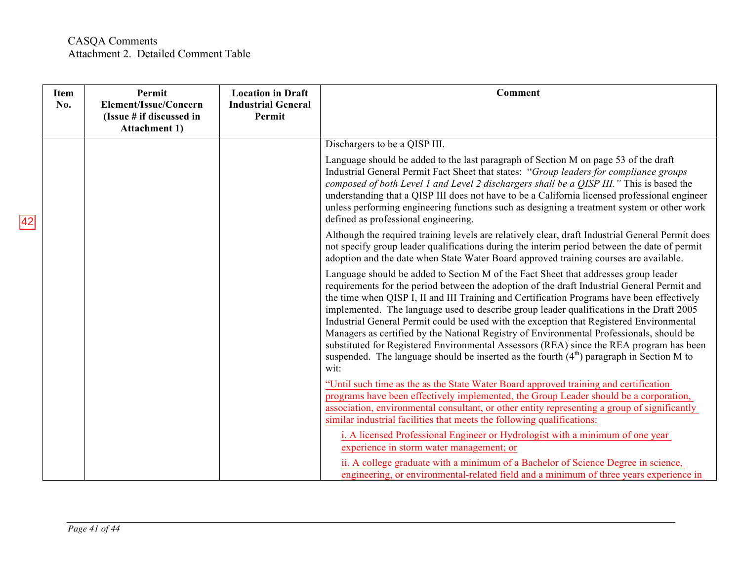### CASQA Comments Attachment 2. Detailed Comment Table

| Item<br>No. | Permit<br>Element/Issue/Concern<br>(Issue # if discussed in<br><b>Attachment 1)</b> | <b>Location in Draft</b><br><b>Industrial General</b><br>Permit | <b>Comment</b>                                                                                                                                                                                                                                                                                                                                                                                                                                                                                                                                                                                                                                                                                                                                                        |
|-------------|-------------------------------------------------------------------------------------|-----------------------------------------------------------------|-----------------------------------------------------------------------------------------------------------------------------------------------------------------------------------------------------------------------------------------------------------------------------------------------------------------------------------------------------------------------------------------------------------------------------------------------------------------------------------------------------------------------------------------------------------------------------------------------------------------------------------------------------------------------------------------------------------------------------------------------------------------------|
|             |                                                                                     |                                                                 | Dischargers to be a QISP III.                                                                                                                                                                                                                                                                                                                                                                                                                                                                                                                                                                                                                                                                                                                                         |
|             |                                                                                     |                                                                 | Language should be added to the last paragraph of Section M on page 53 of the draft<br>Industrial General Permit Fact Sheet that states: "Group leaders for compliance groups<br>composed of both Level 1 and Level 2 dischargers shall be a QISP III." This is based the<br>understanding that a QISP III does not have to be a California licensed professional engineer<br>unless performing engineering functions such as designing a treatment system or other work<br>defined as professional engineering.                                                                                                                                                                                                                                                      |
|             |                                                                                     |                                                                 | Although the required training levels are relatively clear, draft Industrial General Permit does<br>not specify group leader qualifications during the interim period between the date of permit<br>adoption and the date when State Water Board approved training courses are available.                                                                                                                                                                                                                                                                                                                                                                                                                                                                             |
|             |                                                                                     |                                                                 | Language should be added to Section M of the Fact Sheet that addresses group leader<br>requirements for the period between the adoption of the draft Industrial General Permit and<br>the time when QISP I, II and III Training and Certification Programs have been effectively<br>implemented. The language used to describe group leader qualifications in the Draft 2005<br>Industrial General Permit could be used with the exception that Registered Environmental<br>Managers as certified by the National Registry of Environmental Professionals, should be<br>substituted for Registered Environmental Assessors (REA) since the REA program has been<br>suspended. The language should be inserted as the fourth $(4th)$ paragraph in Section M to<br>wit: |
|             |                                                                                     |                                                                 | "Until such time as the as the State Water Board approved training and certification<br>programs have been effectively implemented, the Group Leader should be a corporation,<br>association, environmental consultant, or other entity representing a group of significantly<br>similar industrial facilities that meets the following qualifications:                                                                                                                                                                                                                                                                                                                                                                                                               |
|             |                                                                                     |                                                                 | i. A licensed Professional Engineer or Hydrologist with a minimum of one year<br>experience in storm water management; or                                                                                                                                                                                                                                                                                                                                                                                                                                                                                                                                                                                                                                             |
|             |                                                                                     |                                                                 | ii. A college graduate with a minimum of a Bachelor of Science Degree in science,<br>engineering, or environmental-related field and a minimum of three years experience in                                                                                                                                                                                                                                                                                                                                                                                                                                                                                                                                                                                           |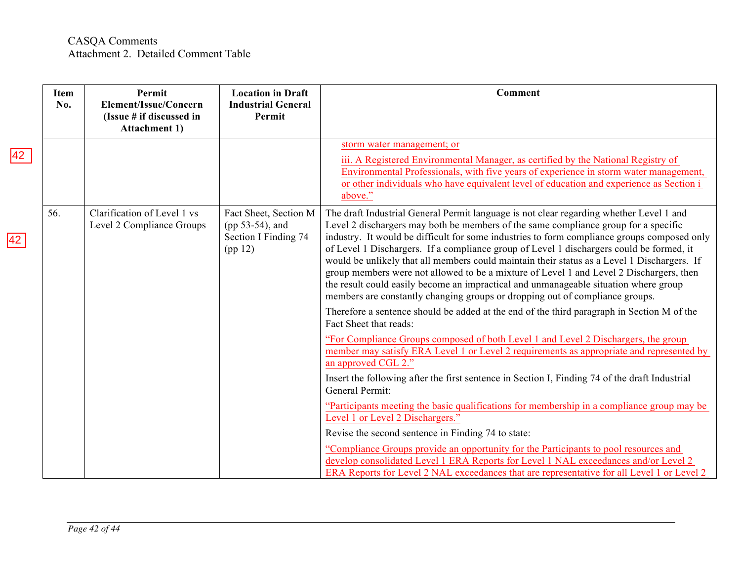| <b>Item</b><br>No. | Permit<br>Element/Issue/Concern<br>(Issue # if discussed in<br><b>Attachment 1)</b> | <b>Location in Draft</b><br><b>Industrial General</b><br>Permit             | <b>Comment</b>                                                                                                                                                                                                                                                                                                                                                                                                                                                                                                                                                                                                                                                                                                                                                                                                                            |
|--------------------|-------------------------------------------------------------------------------------|-----------------------------------------------------------------------------|-------------------------------------------------------------------------------------------------------------------------------------------------------------------------------------------------------------------------------------------------------------------------------------------------------------------------------------------------------------------------------------------------------------------------------------------------------------------------------------------------------------------------------------------------------------------------------------------------------------------------------------------------------------------------------------------------------------------------------------------------------------------------------------------------------------------------------------------|
|                    |                                                                                     |                                                                             | storm water management; or<br>iii. A Registered Environmental Manager, as certified by the National Registry of<br>Environmental Professionals, with five years of experience in storm water management,<br>or other individuals who have equivalent level of education and experience as Section i<br>above."                                                                                                                                                                                                                                                                                                                                                                                                                                                                                                                            |
| 56.                | Clarification of Level 1 vs<br>Level 2 Compliance Groups                            | Fact Sheet, Section M<br>(pp 53-54), and<br>Section I Finding 74<br>(pp 12) | The draft Industrial General Permit language is not clear regarding whether Level 1 and<br>Level 2 dischargers may both be members of the same compliance group for a specific<br>industry. It would be difficult for some industries to form compliance groups composed only<br>of Level 1 Dischargers. If a compliance group of Level 1 dischargers could be formed, it<br>would be unlikely that all members could maintain their status as a Level 1 Dischargers. If<br>group members were not allowed to be a mixture of Level 1 and Level 2 Dischargers, then<br>the result could easily become an impractical and unmanageable situation where group<br>members are constantly changing groups or dropping out of compliance groups.<br>Therefore a sentence should be added at the end of the third paragraph in Section M of the |
|                    |                                                                                     |                                                                             | Fact Sheet that reads:<br>"For Compliance Groups composed of both Level 1 and Level 2 Dischargers, the group<br>member may satisfy ERA Level 1 or Level 2 requirements as appropriate and represented by<br>an approved CGL 2."<br>Insert the following after the first sentence in Section I, Finding 74 of the draft Industrial<br>General Permit:                                                                                                                                                                                                                                                                                                                                                                                                                                                                                      |
|                    |                                                                                     |                                                                             | "Participants meeting the basic qualifications for membership in a compliance group may be<br>Level 1 or Level 2 Dischargers."<br>Revise the second sentence in Finding 74 to state:<br>"Compliance Groups provide an opportunity for the Participants to pool resources and<br>develop consolidated Level 1 ERA Reports for Level 1 NAL exceedances and/or Level 2<br>ERA Reports for Level 2 NAL exceedances that are representative for all Level 1 or Level 2                                                                                                                                                                                                                                                                                                                                                                         |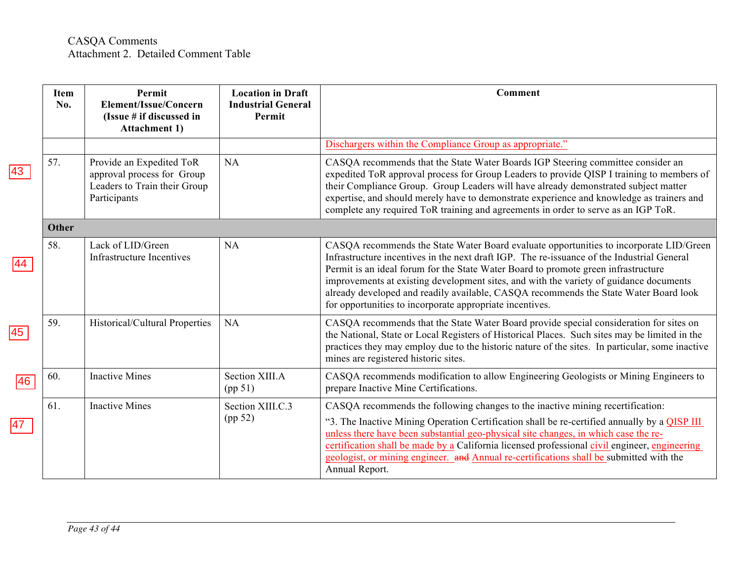|                 | Item<br>No. | Permit<br>Element/Issue/Concern<br>(Issue # if discussed in<br><b>Attachment 1)</b>                    | <b>Location in Draft</b><br><b>Industrial General</b><br>Permit | Comment                                                                                                                                                                                                                                                                                                                                                                                                                                                                                                                  |
|-----------------|-------------|--------------------------------------------------------------------------------------------------------|-----------------------------------------------------------------|--------------------------------------------------------------------------------------------------------------------------------------------------------------------------------------------------------------------------------------------------------------------------------------------------------------------------------------------------------------------------------------------------------------------------------------------------------------------------------------------------------------------------|
|                 |             |                                                                                                        |                                                                 | Dischargers within the Compliance Group as appropriate."                                                                                                                                                                                                                                                                                                                                                                                                                                                                 |
| 43              | 57.         | Provide an Expedited ToR<br>approval process for Group<br>Leaders to Train their Group<br>Participants | NA                                                              | CASQA recommends that the State Water Boards IGP Steering committee consider an<br>expedited ToR approval process for Group Leaders to provide QISP I training to members of<br>their Compliance Group. Group Leaders will have already demonstrated subject matter<br>expertise, and should merely have to demonstrate experience and knowledge as trainers and<br>complete any required ToR training and agreements in order to serve as an IGP ToR.                                                                   |
|                 | Other       |                                                                                                        |                                                                 |                                                                                                                                                                                                                                                                                                                                                                                                                                                                                                                          |
|                 | 58.         | Lack of LID/Green<br>Infrastructure Incentives                                                         | NA                                                              | CASQA recommends the State Water Board evaluate opportunities to incorporate LID/Green<br>Infrastructure incentives in the next draft IGP. The re-issuance of the Industrial General<br>Permit is an ideal forum for the State Water Board to promote green infrastructure<br>improvements at existing development sites, and with the variety of guidance documents<br>already developed and readily available, CASQA recommends the State Water Board look<br>for opportunities to incorporate appropriate incentives. |
| $\overline{45}$ | 59.         | Historical/Cultural Properties                                                                         | NA                                                              | CASQA recommends that the State Water Board provide special consideration for sites on<br>the National, State or Local Registers of Historical Places. Such sites may be limited in the<br>practices they may employ due to the historic nature of the sites. In particular, some inactive<br>mines are registered historic sites.                                                                                                                                                                                       |
| 46              | 60.         | <b>Inactive Mines</b>                                                                                  | Section XIII.A<br>(pp 51)                                       | CASQA recommends modification to allow Engineering Geologists or Mining Engineers to<br>prepare Inactive Mine Certifications.                                                                                                                                                                                                                                                                                                                                                                                            |
| 47              | 61.         | <b>Inactive Mines</b>                                                                                  | Section XIII.C.3<br>(pp 52)                                     | CASQA recommends the following changes to the inactive mining recertification:<br>"3. The Inactive Mining Operation Certification shall be re-certified annually by a QISP III<br>unless there have been substantial geo-physical site changes, in which case the re-<br>certification shall be made by a California licensed professional civil engineer, engineering<br>geologist, or mining engineer. and Annual re-certifications shall be submitted with the<br>Annual Report.                                      |